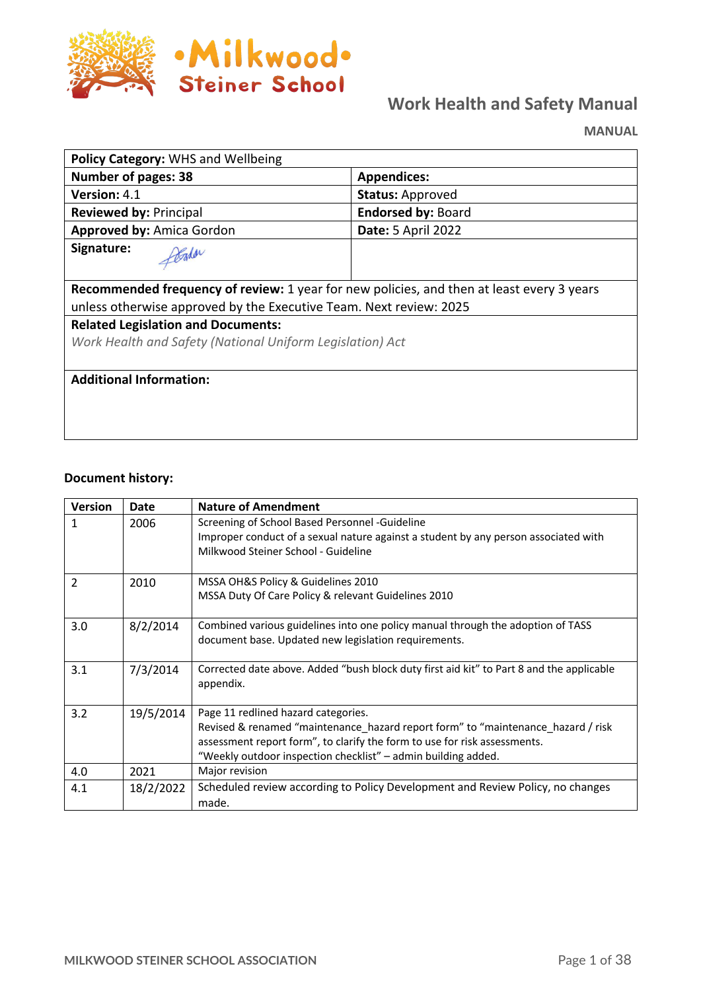

# **Work Health and Safety Manual**

**MANUAL**

| Policy Category: WHS and Wellbeing                                                        |                           |  |  |  |
|-------------------------------------------------------------------------------------------|---------------------------|--|--|--|
| <b>Number of pages: 38</b>                                                                | <b>Appendices:</b>        |  |  |  |
| <b>Version: 4.1</b>                                                                       | <b>Status: Approved</b>   |  |  |  |
| <b>Reviewed by: Principal</b>                                                             | <b>Endorsed by: Board</b> |  |  |  |
| <b>Approved by: Amica Gordon</b>                                                          | <b>Date: 5 April 2022</b> |  |  |  |
| Signature:<br>Gadar                                                                       |                           |  |  |  |
| Recommended frequency of review: 1 year for new policies, and then at least every 3 years |                           |  |  |  |
| unless otherwise approved by the Executive Team. Next review: 2025                        |                           |  |  |  |
| <b>Related Legislation and Documents:</b>                                                 |                           |  |  |  |
| Work Health and Safety (National Uniform Legislation) Act                                 |                           |  |  |  |
|                                                                                           |                           |  |  |  |
| <b>Additional Information:</b>                                                            |                           |  |  |  |
|                                                                                           |                           |  |  |  |
|                                                                                           |                           |  |  |  |
|                                                                                           |                           |  |  |  |

#### **Document history:**

| <b>Version</b> | Date      | <b>Nature of Amendment</b>                                                                                                                                                                                                                                            |
|----------------|-----------|-----------------------------------------------------------------------------------------------------------------------------------------------------------------------------------------------------------------------------------------------------------------------|
| 1              | 2006      | Screening of School Based Personnel -Guideline<br>Improper conduct of a sexual nature against a student by any person associated with<br>Milkwood Steiner School - Guideline                                                                                          |
| 2              | 2010      | MSSA OH&S Policy & Guidelines 2010<br>MSSA Duty Of Care Policy & relevant Guidelines 2010                                                                                                                                                                             |
| 3.0            | 8/2/2014  | Combined various guidelines into one policy manual through the adoption of TASS<br>document base. Updated new legislation requirements.                                                                                                                               |
| 3.1            | 7/3/2014  | Corrected date above. Added "bush block duty first aid kit" to Part 8 and the applicable<br>appendix.                                                                                                                                                                 |
| 3.2            | 19/5/2014 | Page 11 redlined hazard categories.<br>Revised & renamed "maintenance_hazard report form" to "maintenance_hazard / risk<br>assessment report form", to clarify the form to use for risk assessments.<br>"Weekly outdoor inspection checklist" - admin building added. |
| 4.0            | 2021      | Major revision                                                                                                                                                                                                                                                        |
| 4.1            | 18/2/2022 | Scheduled review according to Policy Development and Review Policy, no changes<br>made.                                                                                                                                                                               |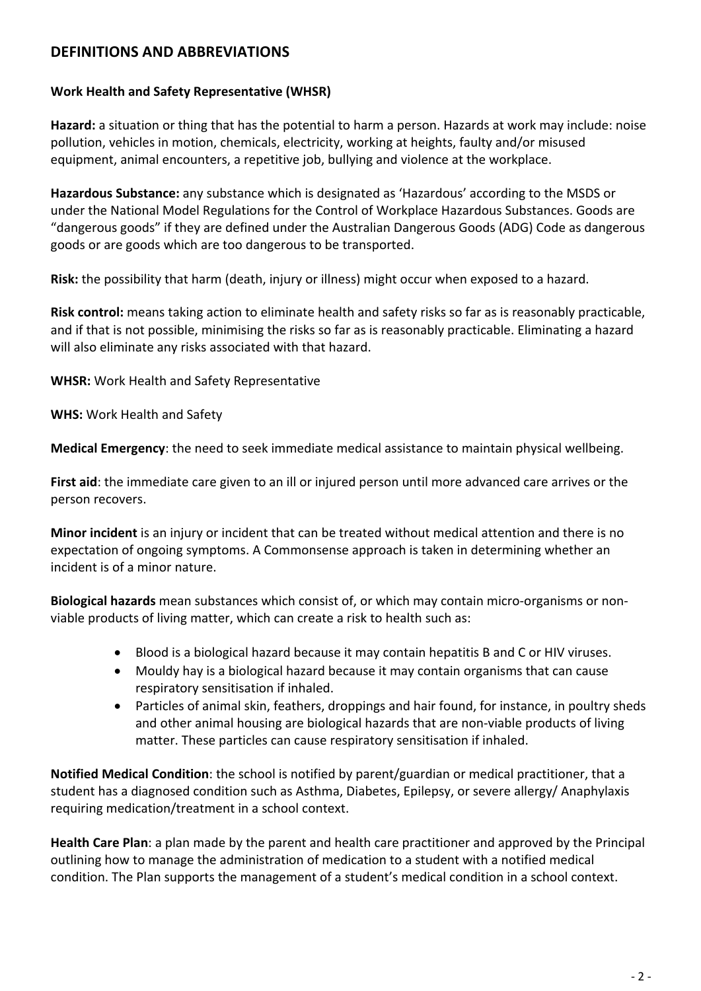### **DEFINITIONS AND ABBREVIATIONS**

#### **Work Health and Safety Representative (WHSR)**

**Hazard:** a situation or thing that has the potential to harm a person. Hazards at work may include: noise pollution, vehicles in motion, chemicals, electricity, working at heights, faulty and/or misused equipment, animal encounters, a repetitive job, bullying and violence at the workplace.

**Hazardous Substance:** any substance which is designated as 'Hazardous' according to the MSDS or under the National Model Regulations for the Control of Workplace Hazardous Substances. Goods are "dangerous goods" if they are defined under the Australian Dangerous Goods (ADG) Code as dangerous goods or are goods which are too dangerous to be transported.

**Risk:** the possibility that harm (death, injury or illness) might occur when exposed to a hazard.

**Risk control:** means taking action to eliminate health and safety risks so far as is reasonably practicable, and if that is not possible, minimising the risks so far as is reasonably practicable. Eliminating a hazard will also eliminate any risks associated with that hazard.

**WHSR:** Work Health and Safety Representative

**WHS:** Work Health and Safety

**Medical Emergency**: the need to seek immediate medical assistance to maintain physical wellbeing.

**First aid**: the immediate care given to an ill or injured person until more advanced care arrives or the person recovers.

**Minor incident** is an injury or incident that can be treated without medical attention and there is no expectation of ongoing symptoms. A Commonsense approach is taken in determining whether an incident is of a minor nature.

**Biological hazards** mean substances which consist of, or which may contain micro-organisms or nonviable products of living matter, which can create a risk to health such as:

- Blood is a biological hazard because it may contain hepatitis B and C or HIV viruses.
- Mouldy hay is a biological hazard because it may contain organisms that can cause respiratory sensitisation if inhaled.
- Particles of animal skin, feathers, droppings and hair found, for instance, in poultry sheds and other animal housing are biological hazards that are non-viable products of living matter. These particles can cause respiratory sensitisation if inhaled.

**Notified Medical Condition**: the school is notified by parent/guardian or medical practitioner, that a student has a diagnosed condition such as Asthma, Diabetes, Epilepsy, or severe allergy/ Anaphylaxis requiring medication/treatment in a school context.

**Health Care Plan**: a plan made by the parent and health care practitioner and approved by the Principal outlining how to manage the administration of medication to a student with a notified medical condition. The Plan supports the management of a student's medical condition in a school context.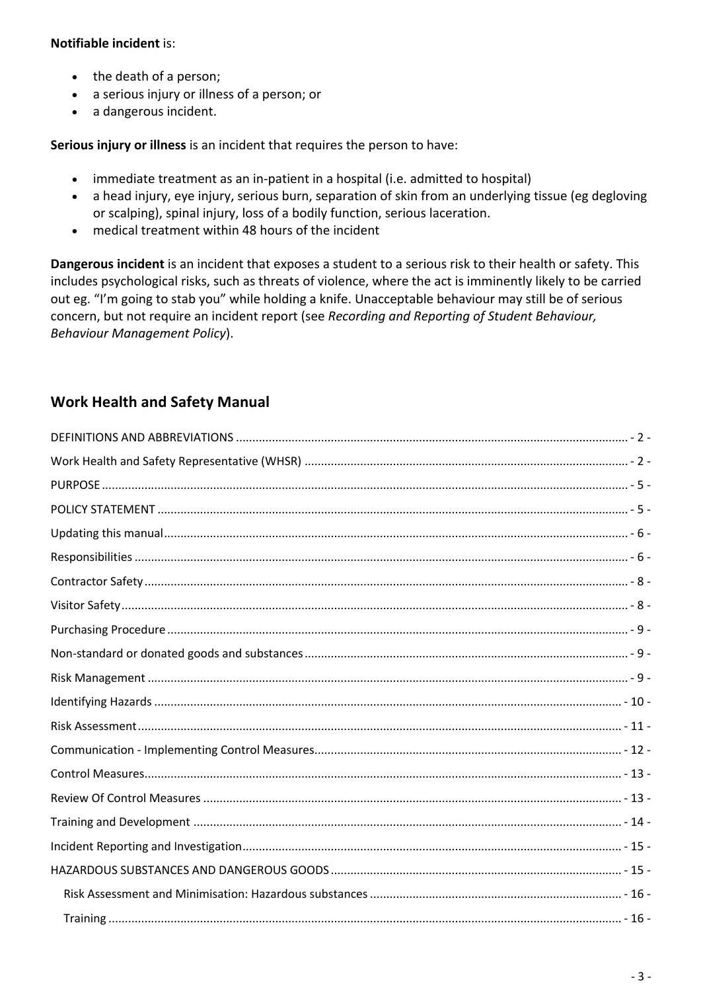#### **Notifiable incident** is:

- the death of a person;
- a serious injury or illness of a person; or
- a dangerous incident.

**Serious injury or illness** is an incident that requires the person to have:

- immediate treatment as an in-patient in a hospital (i.e. admitted to hospital)
- a head injury, eye injury, serious burn, separation of skin from an underlying tissue (eg degloving or scalping), spinal injury, loss of a bodily function, serious laceration.
- medical treatment within 48 hours of the incident

**Dangerous incident** is an incident that exposes a student to a serious risk to their health or safety. This includes psychological risks, such as threats of violence, where the act is imminently likely to be carried out eg. "I'm going to stab you" while holding a knife. Unacceptable behaviour may still be of serious concern, but not require an incident report (see *Recording and Reporting of Student Behaviour, Behaviour Management Policy*).

### **Work Health and Safety Manual**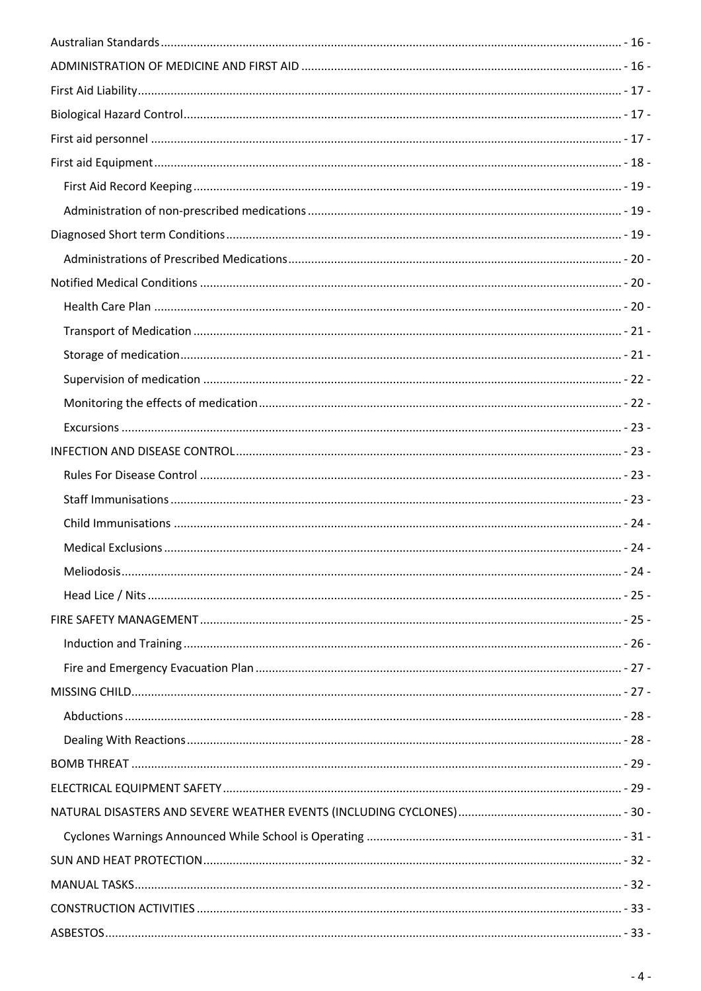| - 28 - مسيسين مسيسين مسيسين مسيسين مسيسين مسيسين مسيسين مسيسين مسيسين مسيسين مسيسين والمستعين والمستعين والمستعين |  |
|-------------------------------------------------------------------------------------------------------------------|--|
|                                                                                                                   |  |
|                                                                                                                   |  |
|                                                                                                                   |  |
|                                                                                                                   |  |
|                                                                                                                   |  |
|                                                                                                                   |  |
|                                                                                                                   |  |
|                                                                                                                   |  |
|                                                                                                                   |  |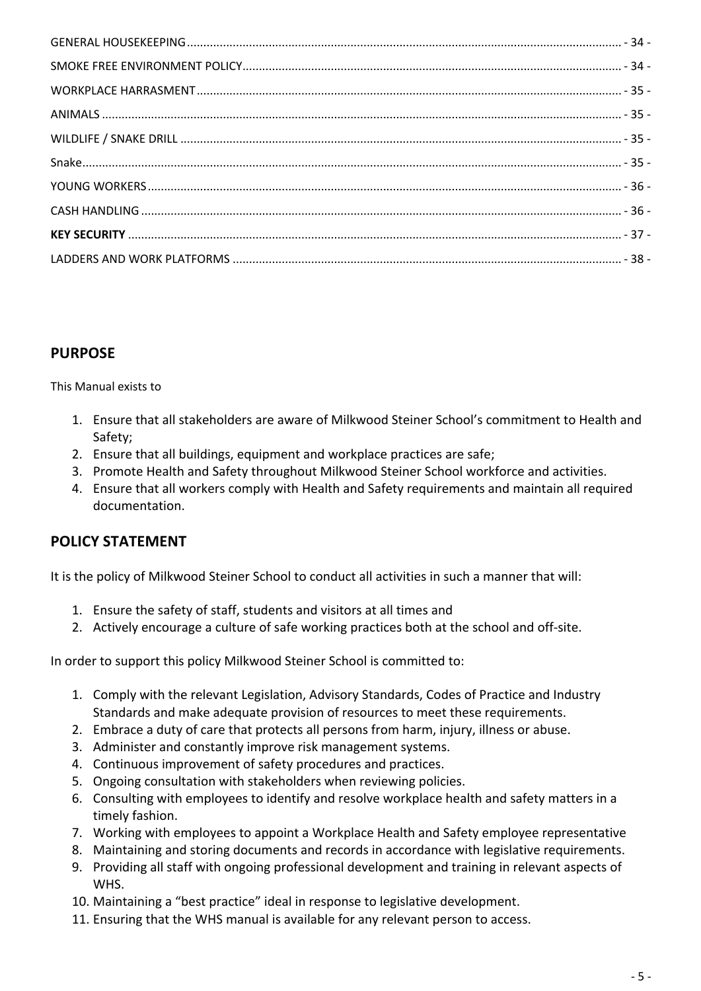### **PURPOSE**

This Manual exists to

- 1. Ensure that all stakeholders are aware of Milkwood Steiner School's commitment to Health and Safety;
- 2. Ensure that all buildings, equipment and workplace practices are safe;
- 3. Promote Health and Safety throughout Milkwood Steiner School workforce and activities.
- 4. Ensure that all workers comply with Health and Safety requirements and maintain all required documentation.

### **POLICY STATEMENT**

It is the policy of Milkwood Steiner School to conduct all activities in such a manner that will:

- 1. Ensure the safety of staff, students and visitors at all times and
- 2. Actively encourage a culture of safe working practices both at the school and off-site.

In order to support this policy Milkwood Steiner School is committed to:

- 1. Comply with the relevant Legislation, Advisory Standards, Codes of Practice and Industry Standards and make adequate provision of resources to meet these requirements.
- 2. Embrace a duty of care that protects all persons from harm, injury, illness or abuse.
- 3. Administer and constantly improve risk management systems.
- 4. Continuous improvement of safety procedures and practices.
- 5. Ongoing consultation with stakeholders when reviewing policies.
- 6. Consulting with employees to identify and resolve workplace health and safety matters in a timely fashion.
- 7. Working with employees to appoint a Workplace Health and Safety employee representative
- 8. Maintaining and storing documents and records in accordance with legislative requirements.
- 9. Providing all staff with ongoing professional development and training in relevant aspects of WHS.
- 10. Maintaining a "best practice" ideal in response to legislative development.
- 11. Ensuring that the WHS manual is available for any relevant person to access.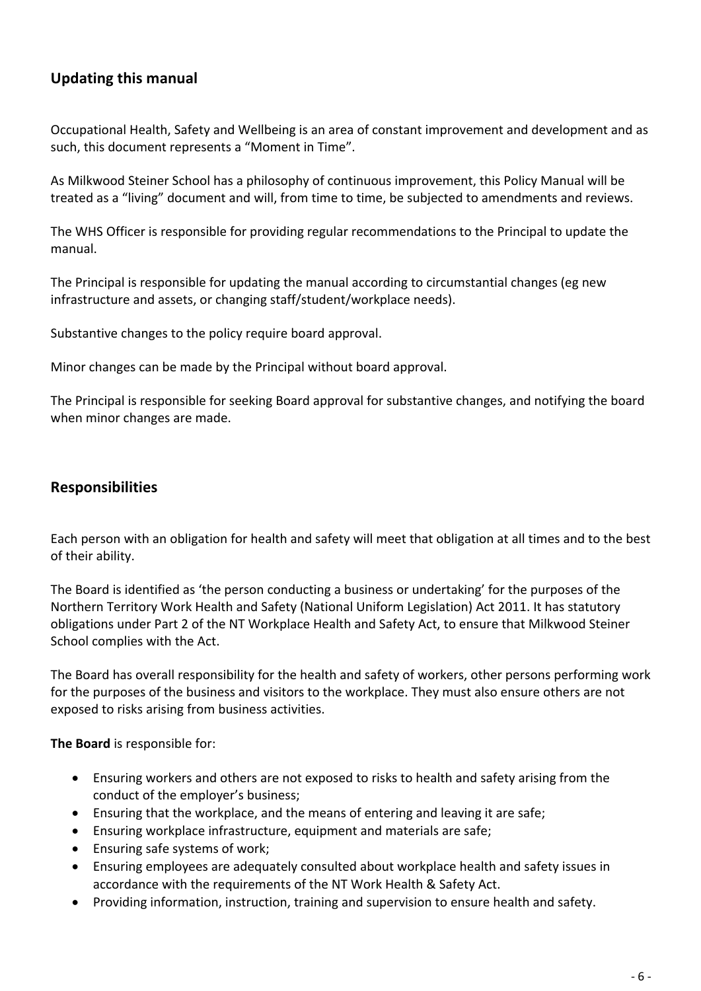### **Updating this manual**

Occupational Health, Safety and Wellbeing is an area of constant improvement and development and as such, this document represents a "Moment in Time".

As Milkwood Steiner School has a philosophy of continuous improvement, this Policy Manual will be treated as a "living" document and will, from time to time, be subjected to amendments and reviews.

The WHS Officer is responsible for providing regular recommendations to the Principal to update the manual.

The Principal is responsible for updating the manual according to circumstantial changes (eg new infrastructure and assets, or changing staff/student/workplace needs).

Substantive changes to the policy require board approval.

Minor changes can be made by the Principal without board approval.

The Principal is responsible for seeking Board approval for substantive changes, and notifying the board when minor changes are made.

### **Responsibilities**

Each person with an obligation for health and safety will meet that obligation at all times and to the best of their ability.

The Board is identified as 'the person conducting a business or undertaking' for the purposes of the Northern Territory Work Health and Safety (National Uniform Legislation) Act 2011. It has statutory obligations under Part 2 of the NT Workplace Health and Safety Act, to ensure that Milkwood Steiner School complies with the Act.

The Board has overall responsibility for the health and safety of workers, other persons performing work for the purposes of the business and visitors to the workplace. They must also ensure others are not exposed to risks arising from business activities.

**The Board** is responsible for:

- Ensuring workers and others are not exposed to risks to health and safety arising from the conduct of the employer's business;
- Ensuring that the workplace, and the means of entering and leaving it are safe;
- Ensuring workplace infrastructure, equipment and materials are safe;
- Ensuring safe systems of work;
- Ensuring employees are adequately consulted about workplace health and safety issues in accordance with the requirements of the NT Work Health & Safety Act.
- Providing information, instruction, training and supervision to ensure health and safety.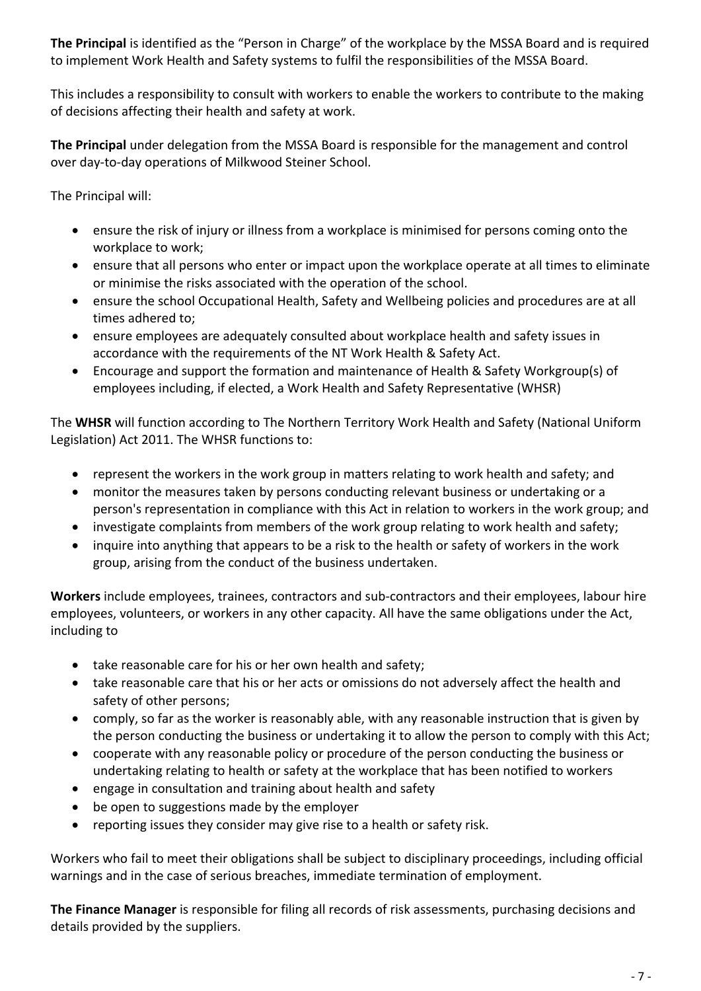**The Principal** is identified as the "Person in Charge" of the workplace by the MSSA Board and is required to implement Work Health and Safety systems to fulfil the responsibilities of the MSSA Board.

This includes a responsibility to consult with workers to enable the workers to contribute to the making of decisions affecting their health and safety at work.

**The Principal** under delegation from the MSSA Board is responsible for the management and control over day-to-day operations of Milkwood Steiner School.

The Principal will:

- ensure the risk of injury or illness from a workplace is minimised for persons coming onto the workplace to work;
- ensure that all persons who enter or impact upon the workplace operate at all times to eliminate or minimise the risks associated with the operation of the school.
- ensure the school Occupational Health, Safety and Wellbeing policies and procedures are at all times adhered to;
- ensure employees are adequately consulted about workplace health and safety issues in accordance with the requirements of the NT Work Health & Safety Act.
- Encourage and support the formation and maintenance of Health & Safety Workgroup(s) of employees including, if elected, a Work Health and Safety Representative (WHSR)

The **WHSR** will function according to The Northern Territory Work Health and Safety (National Uniform Legislation) Act 2011. The WHSR functions to:

- represent the workers in the work group in matters relating to work health and safety; and
- monitor the measures taken by persons conducting relevant business or undertaking or a person's representation in compliance with this Act in relation to workers in the work group; and
- investigate complaints from members of the work group relating to work health and safety;
- inquire into anything that appears to be a risk to the health or safety of workers in the work group, arising from the conduct of the business undertaken.

**Workers** include employees, trainees, contractors and sub-contractors and their employees, labour hire employees, volunteers, or workers in any other capacity. All have the same obligations under the Act, including to

- take reasonable care for his or her own health and safety;
- take reasonable care that his or her acts or omissions do not adversely affect the health and safety of other persons;
- comply, so far as the worker is reasonably able, with any reasonable instruction that is given by the person conducting the business or undertaking it to allow the person to comply with this Act;
- cooperate with any reasonable policy or procedure of the person conducting the business or undertaking relating to health or safety at the workplace that has been notified to workers
- engage in consultation and training about health and safety
- be open to suggestions made by the employer
- reporting issues they consider may give rise to a health or safety risk.

Workers who fail to meet their obligations shall be subject to disciplinary proceedings, including official warnings and in the case of serious breaches, immediate termination of employment.

**The Finance Manager** is responsible for filing all records of risk assessments, purchasing decisions and details provided by the suppliers.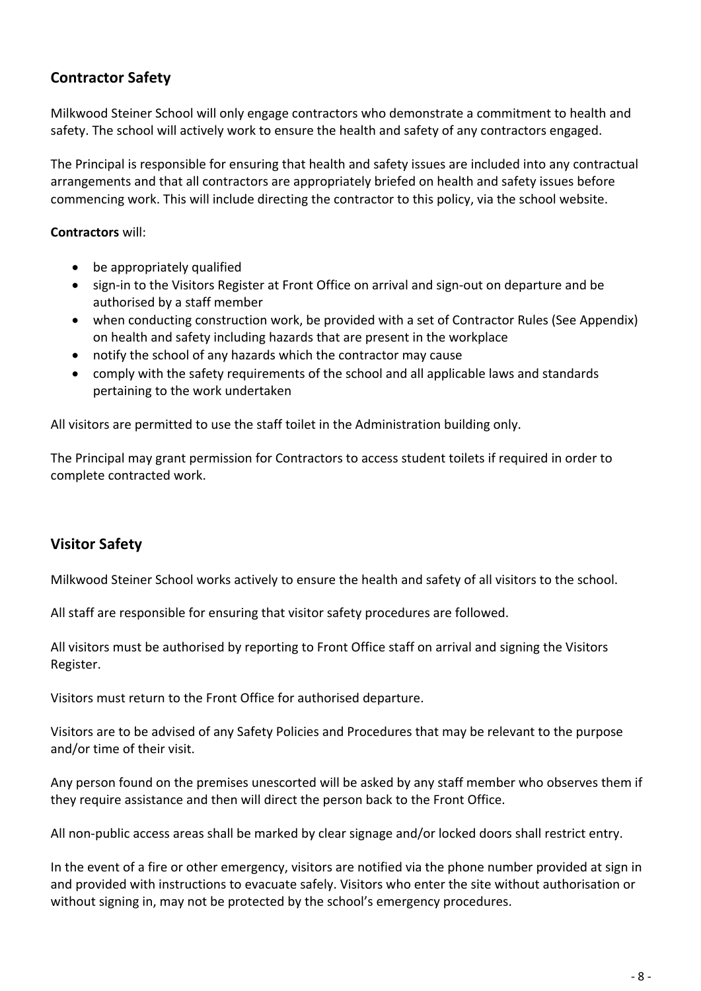### **Contractor Safety**

Milkwood Steiner School will only engage contractors who demonstrate a commitment to health and safety. The school will actively work to ensure the health and safety of any contractors engaged.

The Principal is responsible for ensuring that health and safety issues are included into any contractual arrangements and that all contractors are appropriately briefed on health and safety issues before commencing work. This will include directing the contractor to this policy, via the school website.

#### **Contractors** will:

- be appropriately qualified
- sign-in to the Visitors Register at Front Office on arrival and sign-out on departure and be authorised by a staff member
- when conducting construction work, be provided with a set of Contractor Rules (See Appendix) on health and safety including hazards that are present in the workplace
- notify the school of any hazards which the contractor may cause
- comply with the safety requirements of the school and all applicable laws and standards pertaining to the work undertaken

All visitors are permitted to use the staff toilet in the Administration building only.

The Principal may grant permission for Contractors to access student toilets if required in order to complete contracted work.

### **Visitor Safety**

Milkwood Steiner School works actively to ensure the health and safety of all visitors to the school.

All staff are responsible for ensuring that visitor safety procedures are followed.

All visitors must be authorised by reporting to Front Office staff on arrival and signing the Visitors Register.

Visitors must return to the Front Office for authorised departure.

Visitors are to be advised of any Safety Policies and Procedures that may be relevant to the purpose and/or time of their visit.

Any person found on the premises unescorted will be asked by any staff member who observes them if they require assistance and then will direct the person back to the Front Office.

All non-public access areas shall be marked by clear signage and/or locked doors shall restrict entry.

In the event of a fire or other emergency, visitors are notified via the phone number provided at sign in and provided with instructions to evacuate safely. Visitors who enter the site without authorisation or without signing in, may not be protected by the school's emergency procedures.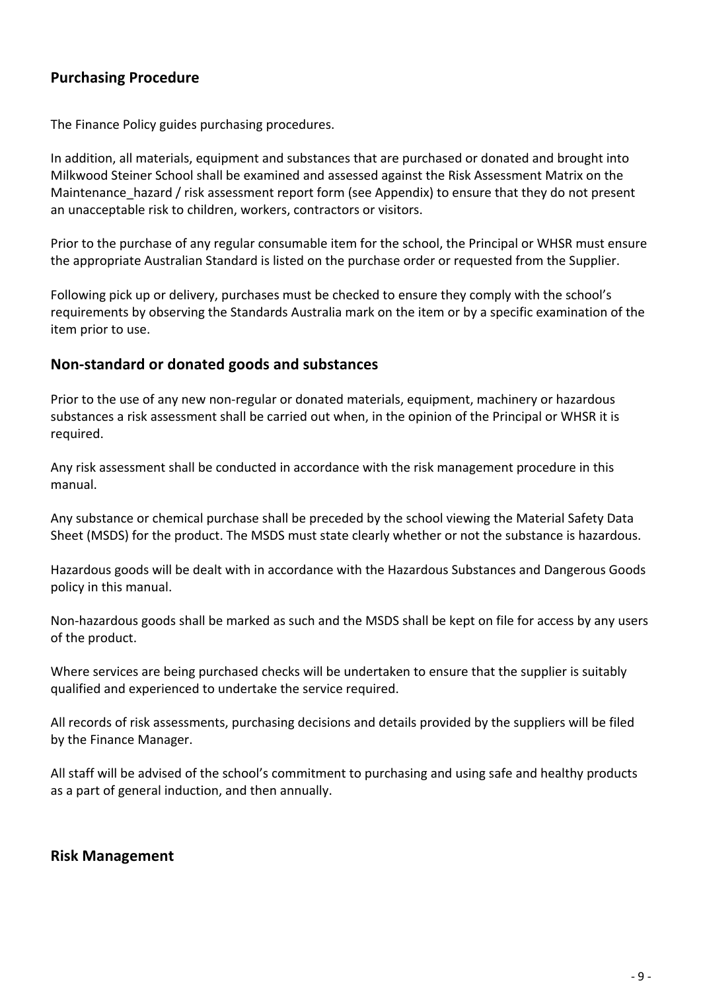### **Purchasing Procedure**

The Finance Policy guides purchasing procedures.

In addition, all materials, equipment and substances that are purchased or donated and brought into Milkwood Steiner School shall be examined and assessed against the Risk Assessment Matrix on the Maintenance hazard / risk assessment report form (see Appendix) to ensure that they do not present an unacceptable risk to children, workers, contractors or visitors.

Prior to the purchase of any regular consumable item for the school, the Principal or WHSR must ensure the appropriate Australian Standard is listed on the purchase order or requested from the Supplier.

Following pick up or delivery, purchases must be checked to ensure they comply with the school's requirements by observing the Standards Australia mark on the item or by a specific examination of the item prior to use.

#### **Non-standard or donated goods and substances**

Prior to the use of any new non-regular or donated materials, equipment, machinery or hazardous substances a risk assessment shall be carried out when, in the opinion of the Principal or WHSR it is required.

Any risk assessment shall be conducted in accordance with the risk management procedure in this manual.

Any substance or chemical purchase shall be preceded by the school viewing the Material Safety Data Sheet (MSDS) for the product. The MSDS must state clearly whether or not the substance is hazardous.

Hazardous goods will be dealt with in accordance with the Hazardous Substances and Dangerous Goods policy in this manual.

Non-hazardous goods shall be marked as such and the MSDS shall be kept on file for access by any users of the product.

Where services are being purchased checks will be undertaken to ensure that the supplier is suitably qualified and experienced to undertake the service required.

All records of risk assessments, purchasing decisions and details provided by the suppliers will be filed by the Finance Manager.

All staff will be advised of the school's commitment to purchasing and using safe and healthy products as a part of general induction, and then annually.

#### **Risk Management**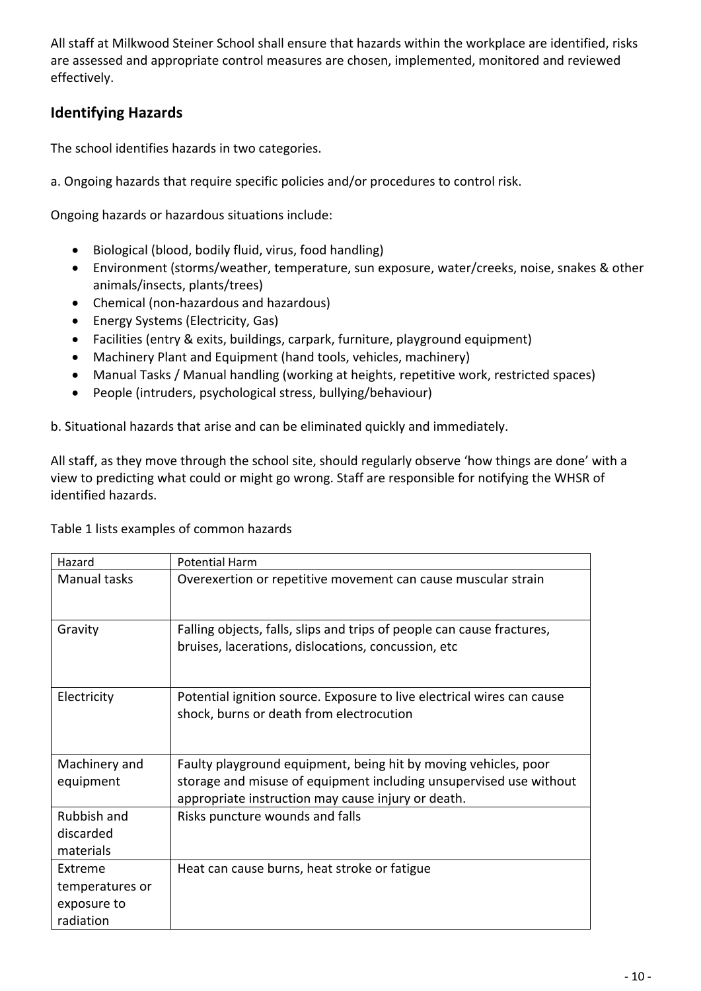All staff at Milkwood Steiner School shall ensure that hazards within the workplace are identified, risks are assessed and appropriate control measures are chosen, implemented, monitored and reviewed effectively.

## **Identifying Hazards**

The school identifies hazards in two categories.

a. Ongoing hazards that require specific policies and/or procedures to control risk.

Ongoing hazards or hazardous situations include:

- Biological (blood, bodily fluid, virus, food handling)
- Environment (storms/weather, temperature, sun exposure, water/creeks, noise, snakes & other animals/insects, plants/trees)
- Chemical (non-hazardous and hazardous)
- Energy Systems (Electricity, Gas)
- Facilities (entry & exits, buildings, carpark, furniture, playground equipment)
- Machinery Plant and Equipment (hand tools, vehicles, machinery)
- Manual Tasks / Manual handling (working at heights, repetitive work, restricted spaces)
- People (intruders, psychological stress, bullying/behaviour)

b. Situational hazards that arise and can be eliminated quickly and immediately.

All staff, as they move through the school site, should regularly observe 'how things are done' with a view to predicting what could or might go wrong. Staff are responsible for notifying the WHSR of identified hazards.

Table 1 lists examples of common hazards

| Hazard          | <b>Potential Harm</b>                                                                                                         |
|-----------------|-------------------------------------------------------------------------------------------------------------------------------|
| Manual tasks    | Overexertion or repetitive movement can cause muscular strain                                                                 |
| Gravity         | Falling objects, falls, slips and trips of people can cause fractures,<br>bruises, lacerations, dislocations, concussion, etc |
| Electricity     | Potential ignition source. Exposure to live electrical wires can cause<br>shock, burns or death from electrocution            |
| Machinery and   | Faulty playground equipment, being hit by moving vehicles, poor                                                               |
| equipment       | storage and misuse of equipment including unsupervised use without<br>appropriate instruction may cause injury or death.      |
| Rubbish and     | Risks puncture wounds and falls                                                                                               |
| discarded       |                                                                                                                               |
| materials       |                                                                                                                               |
| Extreme         | Heat can cause burns, heat stroke or fatigue                                                                                  |
| temperatures or |                                                                                                                               |
| exposure to     |                                                                                                                               |
| radiation       |                                                                                                                               |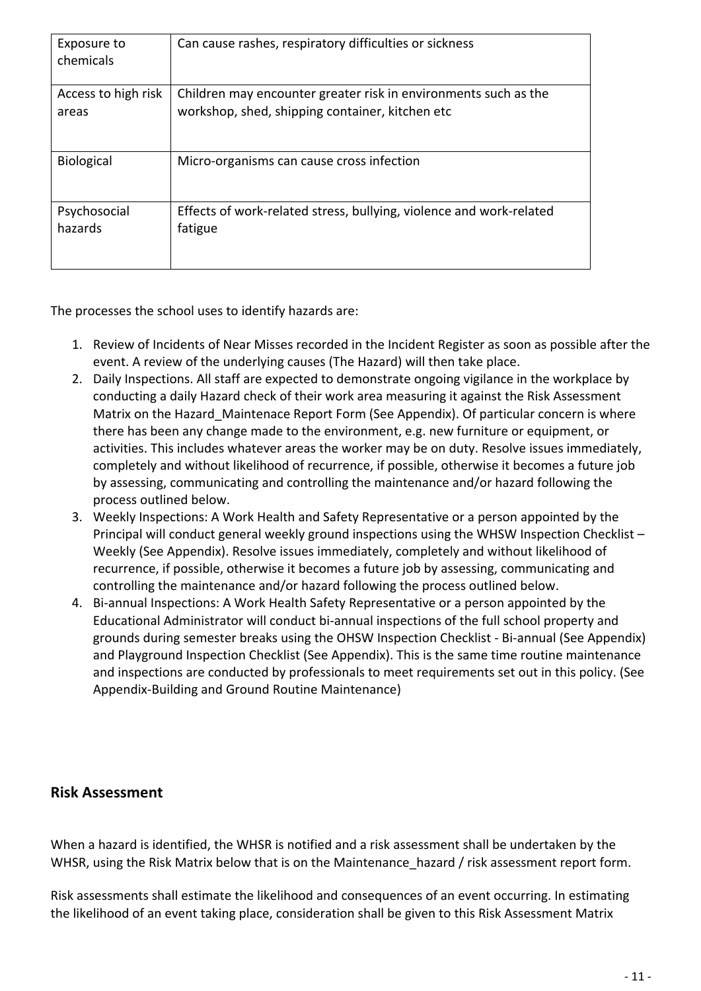| Exposure to<br>chemicals | Can cause rashes, respiratory difficulties or sickness              |
|--------------------------|---------------------------------------------------------------------|
| Access to high risk      | Children may encounter greater risk in environments such as the     |
| areas                    | workshop, shed, shipping container, kitchen etc                     |
| Biological               | Micro-organisms can cause cross infection                           |
| Psychosocial             | Effects of work-related stress, bullying, violence and work-related |
| hazards                  | fatigue                                                             |

The processes the school uses to identify hazards are:

- 1. Review of Incidents of Near Misses recorded in the Incident Register as soon as possible after the event. A review of the underlying causes (The Hazard) will then take place.
- 2. Daily Inspections. All staff are expected to demonstrate ongoing vigilance in the workplace by conducting a daily Hazard check of their work area measuring it against the Risk Assessment Matrix on the Hazard\_Maintenace Report Form (See Appendix). Of particular concern is where there has been any change made to the environment, e.g. new furniture or equipment, or activities. This includes whatever areas the worker may be on duty. Resolve issues immediately, completely and without likelihood of recurrence, if possible, otherwise it becomes a future job by assessing, communicating and controlling the maintenance and/or hazard following the process outlined below.
- 3. Weekly Inspections: A Work Health and Safety Representative or a person appointed by the Principal will conduct general weekly ground inspections using the WHSW Inspection Checklist – Weekly (See Appendix). Resolve issues immediately, completely and without likelihood of recurrence, if possible, otherwise it becomes a future job by assessing, communicating and controlling the maintenance and/or hazard following the process outlined below.
- 4. Bi-annual Inspections: A Work Health Safety Representative or a person appointed by the Educational Administrator will conduct bi-annual inspections of the full school property and grounds during semester breaks using the OHSW Inspection Checklist - Bi-annual (See Appendix) and Playground Inspection Checklist (See Appendix). This is the same time routine maintenance and inspections are conducted by professionals to meet requirements set out in this policy. (See Appendix-Building and Ground Routine Maintenance)

#### **Risk Assessment**

When a hazard is identified, the WHSR is notified and a risk assessment shall be undertaken by the WHSR, using the Risk Matrix below that is on the Maintenance hazard / risk assessment report form.

Risk assessments shall estimate the likelihood and consequences of an event occurring. In estimating the likelihood of an event taking place, consideration shall be given to this Risk Assessment Matrix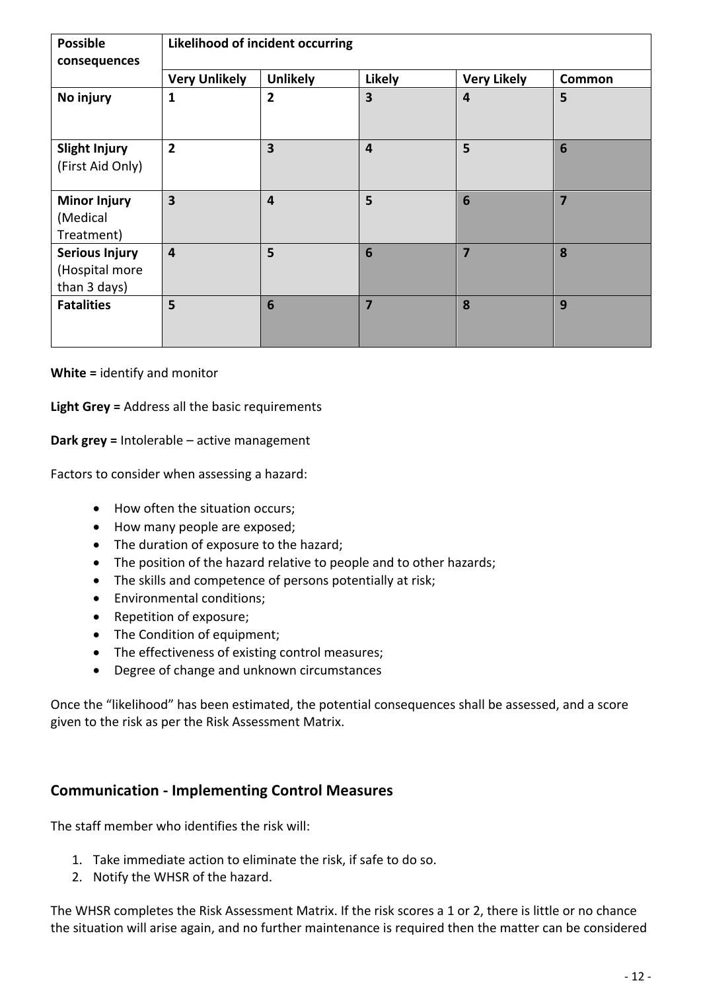| <b>Possible</b><br>consequences                         | <b>Likelihood of incident occurring</b> |                         |                         |                    |                |
|---------------------------------------------------------|-----------------------------------------|-------------------------|-------------------------|--------------------|----------------|
|                                                         | <b>Very Unlikely</b>                    | <b>Unlikely</b>         | <b>Likely</b>           | <b>Very Likely</b> | Common         |
| No injury                                               | 1                                       | $\overline{2}$          | $\overline{\mathbf{3}}$ | 4                  | 5              |
| <b>Slight Injury</b><br>(First Aid Only)                | $\overline{2}$                          | $\overline{\mathbf{3}}$ | $\overline{4}$          | 5                  | $6\phantom{1}$ |
| <b>Minor Injury</b><br>(Medical<br>Treatment)           | $\overline{\mathbf{3}}$                 | $\overline{\mathbf{4}}$ | 5                       | $6\phantom{1}6$    | $\overline{7}$ |
| <b>Serious Injury</b><br>(Hospital more<br>than 3 days) | $\overline{\mathbf{4}}$                 | 5                       | $6\phantom{1}6$         | 7                  | 8              |
| <b>Fatalities</b>                                       | 5                                       | $6\phantom{1}6$         | $\overline{7}$          | 8                  | 9              |

**White =** identify and monitor

**Light Grey =** Address all the basic requirements

**Dark grey =** Intolerable – active management

Factors to consider when assessing a hazard:

- How often the situation occurs;
- How many people are exposed;
- The duration of exposure to the hazard;
- The position of the hazard relative to people and to other hazards;
- The skills and competence of persons potentially at risk;
- Environmental conditions;
- Repetition of exposure;
- The Condition of equipment;
- The effectiveness of existing control measures;
- Degree of change and unknown circumstances

Once the "likelihood" has been estimated, the potential consequences shall be assessed, and a score given to the risk as per the Risk Assessment Matrix.

#### **Communication - Implementing Control Measures**

The staff member who identifies the risk will:

- 1. Take immediate action to eliminate the risk, if safe to do so.
- 2. Notify the WHSR of the hazard.

The WHSR completes the Risk Assessment Matrix. If the risk scores a 1 or 2, there is little or no chance the situation will arise again, and no further maintenance is required then the matter can be considered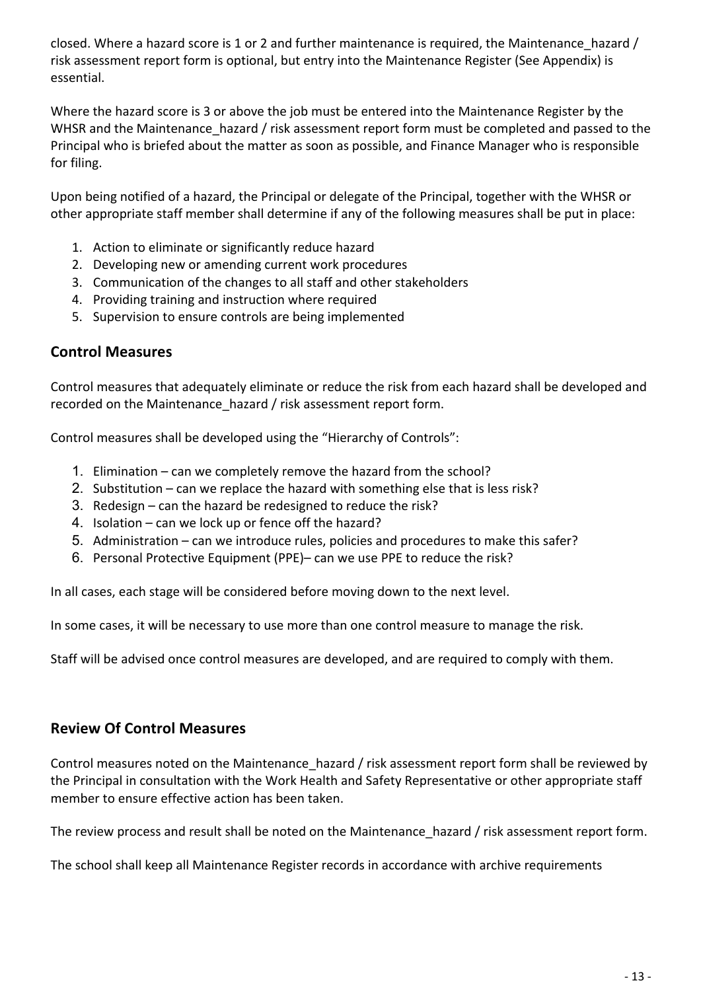closed. Where a hazard score is 1 or 2 and further maintenance is required, the Maintenance\_hazard / risk assessment report form is optional, but entry into the Maintenance Register (See Appendix) is essential.

Where the hazard score is 3 or above the job must be entered into the Maintenance Register by the WHSR and the Maintenance hazard / risk assessment report form must be completed and passed to the Principal who is briefed about the matter as soon as possible, and Finance Manager who is responsible for filing.

Upon being notified of a hazard, the Principal or delegate of the Principal, together with the WHSR or other appropriate staff member shall determine if any of the following measures shall be put in place:

- 1. Action to eliminate or significantly reduce hazard
- 2. Developing new or amending current work procedures
- 3. Communication of the changes to all staff and other stakeholders
- 4. Providing training and instruction where required
- 5. Supervision to ensure controls are being implemented

#### **Control Measures**

Control measures that adequately eliminate or reduce the risk from each hazard shall be developed and recorded on the Maintenance hazard / risk assessment report form.

Control measures shall be developed using the "Hierarchy of Controls":

- 1. Elimination can we completely remove the hazard from the school?
- 2. Substitution can we replace the hazard with something else that is less risk?
- 3. Redesign can the hazard be redesigned to reduce the risk?
- 4. Isolation can we lock up or fence off the hazard?
- 5. Administration can we introduce rules, policies and procedures to make this safer?
- 6. Personal Protective Equipment (PPE)– can we use PPE to reduce the risk?

In all cases, each stage will be considered before moving down to the next level.

In some cases, it will be necessary to use more than one control measure to manage the risk.

Staff will be advised once control measures are developed, and are required to comply with them.

#### **Review Of Control Measures**

Control measures noted on the Maintenance hazard / risk assessment report form shall be reviewed by the Principal in consultation with the Work Health and Safety Representative or other appropriate staff member to ensure effective action has been taken.

The review process and result shall be noted on the Maintenance hazard / risk assessment report form.

The school shall keep all Maintenance Register records in accordance with archive requirements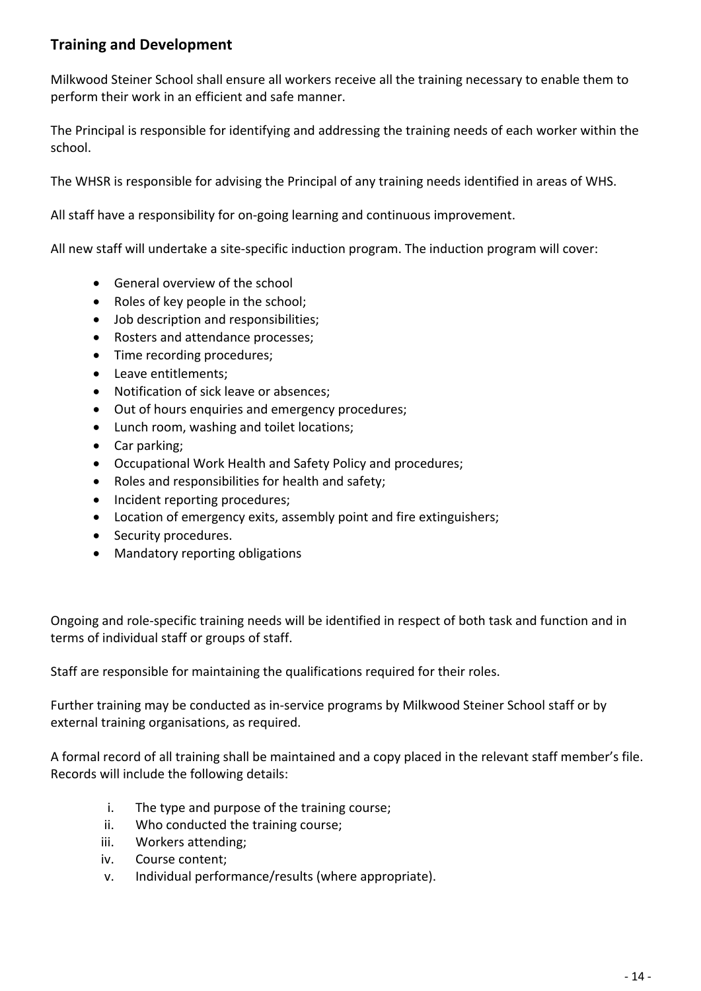### **Training and Development**

Milkwood Steiner School shall ensure all workers receive all the training necessary to enable them to perform their work in an efficient and safe manner.

The Principal is responsible for identifying and addressing the training needs of each worker within the school.

The WHSR is responsible for advising the Principal of any training needs identified in areas of WHS.

All staff have a responsibility for on-going learning and continuous improvement.

All new staff will undertake a site-specific induction program. The induction program will cover:

- General overview of the school
- Roles of key people in the school;
- Job description and responsibilities;
- Rosters and attendance processes;
- Time recording procedures;
- Leave entitlements;
- Notification of sick leave or absences;
- Out of hours enquiries and emergency procedures;
- Lunch room, washing and toilet locations;
- Car parking;
- Occupational Work Health and Safety Policy and procedures;
- Roles and responsibilities for health and safety;
- Incident reporting procedures;
- Location of emergency exits, assembly point and fire extinguishers;
- Security procedures.
- Mandatory reporting obligations

Ongoing and role-specific training needs will be identified in respect of both task and function and in terms of individual staff or groups of staff.

Staff are responsible for maintaining the qualifications required for their roles.

Further training may be conducted as in-service programs by Milkwood Steiner School staff or by external training organisations, as required.

A formal record of all training shall be maintained and a copy placed in the relevant staff member's file. Records will include the following details:

- i. The type and purpose of the training course;
- ii. Who conducted the training course;
- iii. Workers attending;
- iv. Course content;
- v. Individual performance/results (where appropriate).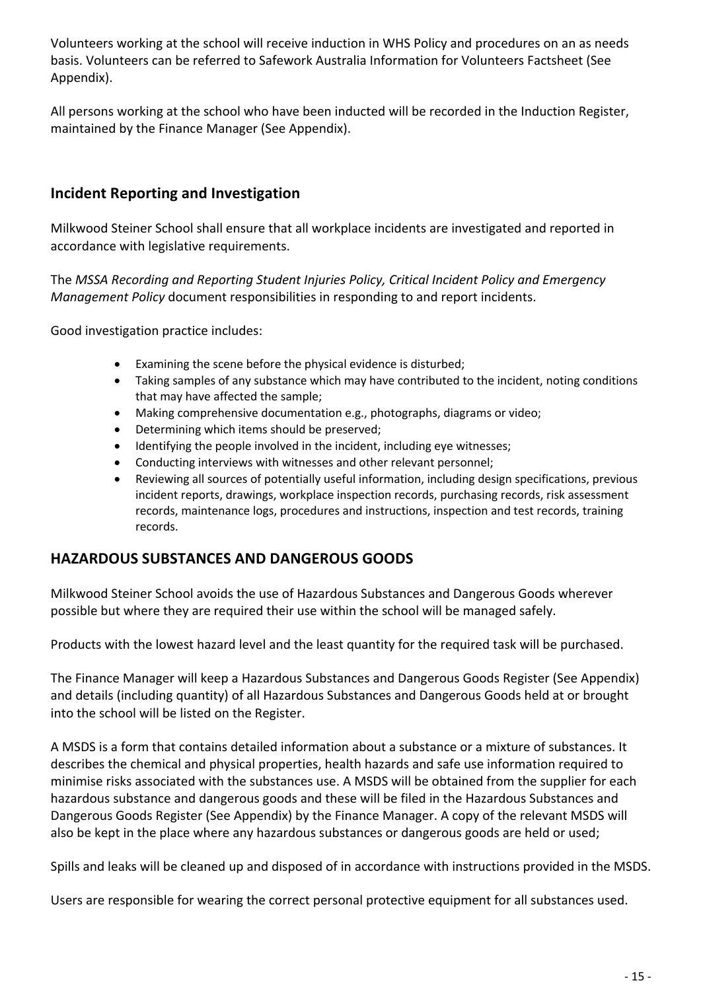Volunteers working at the school will receive induction in WHS Policy and procedures on an as needs basis. Volunteers can be referred to Safework Australia Information for Volunteers Factsheet (See Appendix).

All persons working at the school who have been inducted will be recorded in the Induction Register, maintained by the Finance Manager (See Appendix).

### **Incident Reporting and Investigation**

Milkwood Steiner School shall ensure that all workplace incidents are investigated and reported in accordance with legislative requirements.

The *MSSA Recording and Reporting Student Injuries Policy, Critical Incident Policy and Emergency Management Policy* document responsibilities in responding to and report incidents.

Good investigation practice includes:

- Examining the scene before the physical evidence is disturbed;
- Taking samples of any substance which may have contributed to the incident, noting conditions that may have affected the sample;
- Making comprehensive documentation e.g., photographs, diagrams or video;
- Determining which items should be preserved;
- Identifying the people involved in the incident, including eye witnesses;
- Conducting interviews with witnesses and other relevant personnel;
- Reviewing all sources of potentially useful information, including design specifications, previous incident reports, drawings, workplace inspection records, purchasing records, risk assessment records, maintenance logs, procedures and instructions, inspection and test records, training records.

#### **HAZARDOUS SUBSTANCES AND DANGEROUS GOODS**

Milkwood Steiner School avoids the use of Hazardous Substances and Dangerous Goods wherever possible but where they are required their use within the school will be managed safely.

Products with the lowest hazard level and the least quantity for the required task will be purchased.

The Finance Manager will keep a Hazardous Substances and Dangerous Goods Register (See Appendix) and details (including quantity) of all Hazardous Substances and Dangerous Goods held at or brought into the school will be listed on the Register.

A MSDS is a form that contains detailed information about a substance or a mixture of substances. It describes the chemical and physical properties, health hazards and safe use information required to minimise risks associated with the substances use. A MSDS will be obtained from the supplier for each hazardous substance and dangerous goods and these will be filed in the Hazardous Substances and Dangerous Goods Register (See Appendix) by the Finance Manager. A copy of the relevant MSDS will also be kept in the place where any hazardous substances or dangerous goods are held or used;

Spills and leaks will be cleaned up and disposed of in accordance with instructions provided in the MSDS.

Users are responsible for wearing the correct personal protective equipment for all substances used.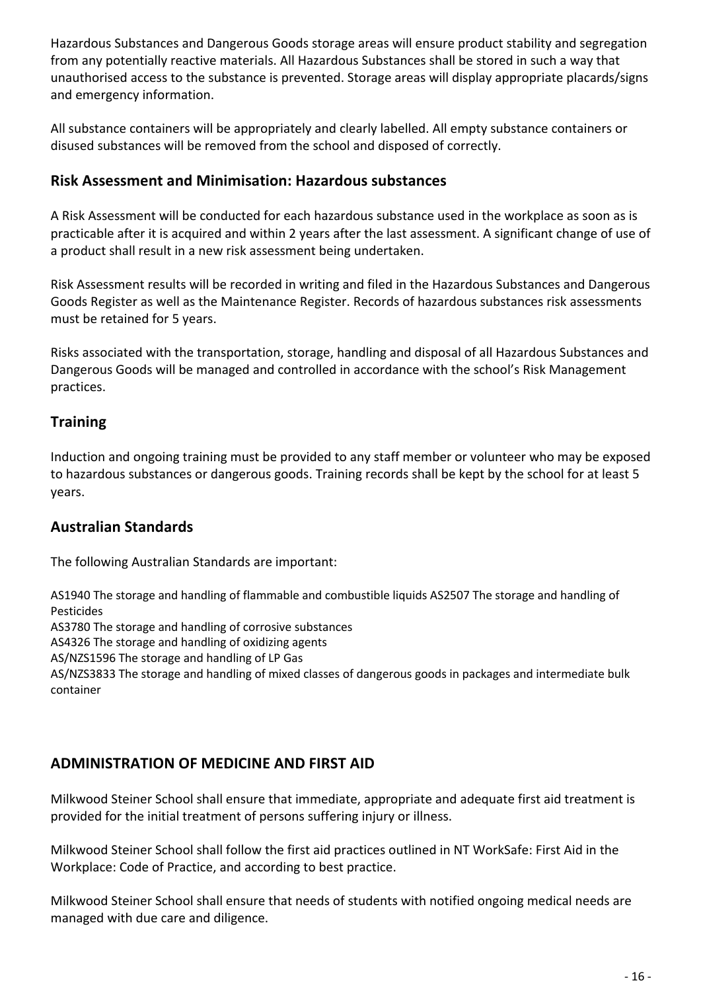Hazardous Substances and Dangerous Goods storage areas will ensure product stability and segregation from any potentially reactive materials. All Hazardous Substances shall be stored in such a way that unauthorised access to the substance is prevented. Storage areas will display appropriate placards/signs and emergency information.

All substance containers will be appropriately and clearly labelled. All empty substance containers or disused substances will be removed from the school and disposed of correctly.

### **Risk Assessment and Minimisation: Hazardous substances**

A Risk Assessment will be conducted for each hazardous substance used in the workplace as soon as is practicable after it is acquired and within 2 years after the last assessment. A significant change of use of a product shall result in a new risk assessment being undertaken.

Risk Assessment results will be recorded in writing and filed in the Hazardous Substances and Dangerous Goods Register as well as the Maintenance Register. Records of hazardous substances risk assessments must be retained for 5 years.

Risks associated with the transportation, storage, handling and disposal of all Hazardous Substances and Dangerous Goods will be managed and controlled in accordance with the school's Risk Management practices.

### **Training**

Induction and ongoing training must be provided to any staff member or volunteer who may be exposed to hazardous substances or dangerous goods. Training records shall be kept by the school for at least 5 years.

### **Australian Standards**

The following Australian Standards are important:

AS1940 The storage and handling of flammable and combustible liquids AS2507 The storage and handling of Pesticides

AS3780 The storage and handling of corrosive substances

AS4326 The storage and handling of oxidizing agents

AS/NZS1596 The storage and handling of LP Gas

AS/NZS3833 The storage and handling of mixed classes of dangerous goods in packages and intermediate bulk container

### **ADMINISTRATION OF MEDICINE AND FIRST AID**

Milkwood Steiner School shall ensure that immediate, appropriate and adequate first aid treatment is provided for the initial treatment of persons suffering injury or illness.

Milkwood Steiner School shall follow the first aid practices outlined in NT WorkSafe: First Aid in the Workplace: Code of Practice, and according to best practice.

Milkwood Steiner School shall ensure that needs of students with notified ongoing medical needs are managed with due care and diligence.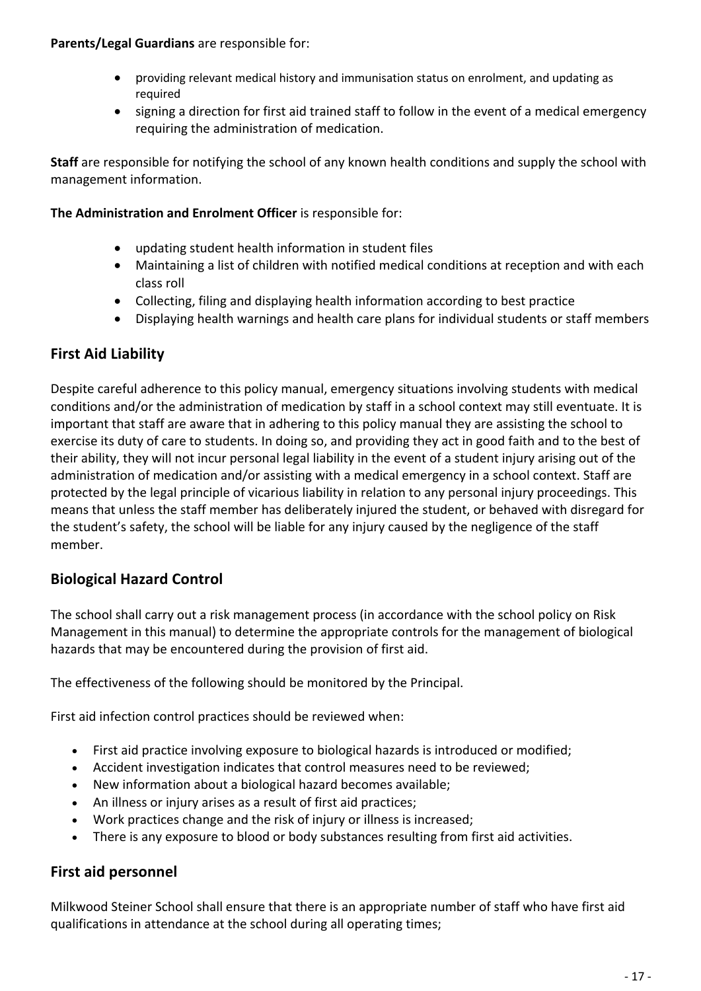#### **Parents/Legal Guardians** are responsible for:

- providing relevant medical history and immunisation status on enrolment, and updating as required
- signing a direction for first aid trained staff to follow in the event of a medical emergency requiring the administration of medication.

**Staff** are responsible for notifying the school of any known health conditions and supply the school with management information.

#### **The Administration and Enrolment Officer** is responsible for:

- updating student health information in student files
- Maintaining a list of children with notified medical conditions at reception and with each class roll
- Collecting, filing and displaying health information according to best practice
- Displaying health warnings and health care plans for individual students or staff members

### **First Aid Liability**

Despite careful adherence to this policy manual, emergency situations involving students with medical conditions and/or the administration of medication by staff in a school context may still eventuate. It is important that staff are aware that in adhering to this policy manual they are assisting the school to exercise its duty of care to students. In doing so, and providing they act in good faith and to the best of their ability, they will not incur personal legal liability in the event of a student injury arising out of the administration of medication and/or assisting with a medical emergency in a school context. Staff are protected by the legal principle of vicarious liability in relation to any personal injury proceedings. This means that unless the staff member has deliberately injured the student, or behaved with disregard for the student's safety, the school will be liable for any injury caused by the negligence of the staff member.

### **Biological Hazard Control**

The school shall carry out a risk management process (in accordance with the school policy on Risk Management in this manual) to determine the appropriate controls for the management of biological hazards that may be encountered during the provision of first aid.

The effectiveness of the following should be monitored by the Principal.

First aid infection control practices should be reviewed when:

- First aid practice involving exposure to biological hazards is introduced or modified;
- Accident investigation indicates that control measures need to be reviewed;
- New information about a biological hazard becomes available;
- An illness or injury arises as a result of first aid practices;
- Work practices change and the risk of injury or illness is increased;
- There is any exposure to blood or body substances resulting from first aid activities.

### **First aid personnel**

Milkwood Steiner School shall ensure that there is an appropriate number of staff who have first aid qualifications in attendance at the school during all operating times;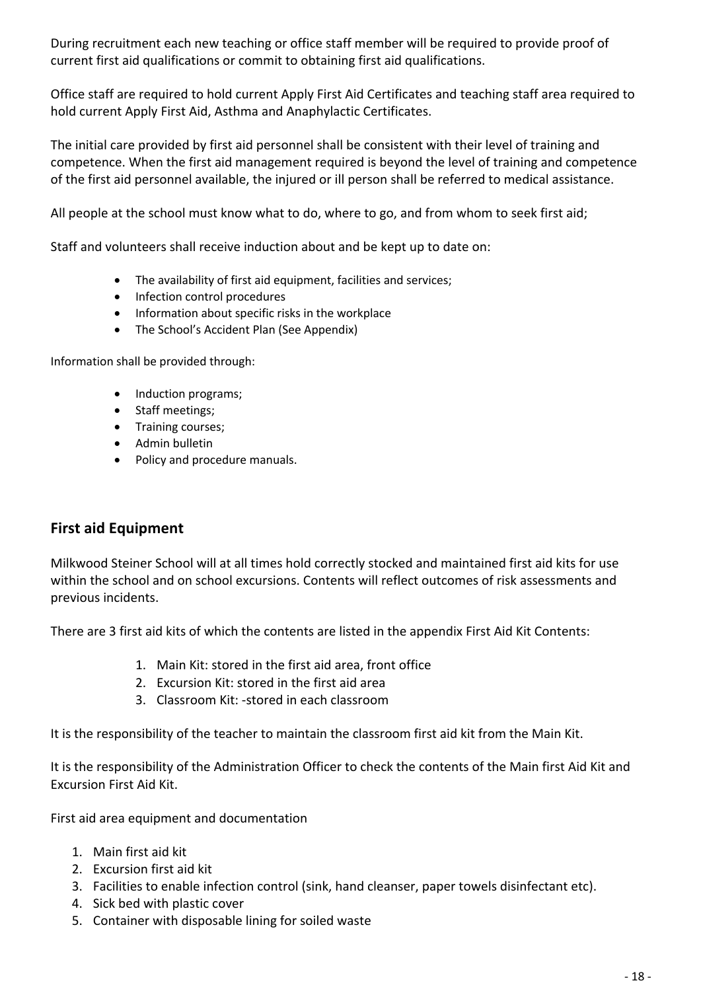During recruitment each new teaching or office staff member will be required to provide proof of current first aid qualifications or commit to obtaining first aid qualifications.

Office staff are required to hold current Apply First Aid Certificates and teaching staff area required to hold current Apply First Aid, Asthma and Anaphylactic Certificates.

The initial care provided by first aid personnel shall be consistent with their level of training and competence. When the first aid management required is beyond the level of training and competence of the first aid personnel available, the injured or ill person shall be referred to medical assistance.

All people at the school must know what to do, where to go, and from whom to seek first aid;

Staff and volunteers shall receive induction about and be kept up to date on:

- The availability of first aid equipment, facilities and services;
- Infection control procedures
- Information about specific risks in the workplace
- The School's Accident Plan (See Appendix)

Information shall be provided through:

- Induction programs;
- Staff meetings;
- Training courses;
- Admin bulletin
- Policy and procedure manuals.

#### **First aid Equipment**

Milkwood Steiner School will at all times hold correctly stocked and maintained first aid kits for use within the school and on school excursions. Contents will reflect outcomes of risk assessments and previous incidents.

There are 3 first aid kits of which the contents are listed in the appendix First Aid Kit Contents:

- 1. Main Kit: stored in the first aid area, front office
- 2. Excursion Kit: stored in the first aid area
- 3. Classroom Kit: -stored in each classroom

It is the responsibility of the teacher to maintain the classroom first aid kit from the Main Kit.

It is the responsibility of the Administration Officer to check the contents of the Main first Aid Kit and Excursion First Aid Kit.

First aid area equipment and documentation

- 1. Main first aid kit
- 2. Excursion first aid kit
- 3. Facilities to enable infection control (sink, hand cleanser, paper towels disinfectant etc).
- 4. Sick bed with plastic cover
- 5. Container with disposable lining for soiled waste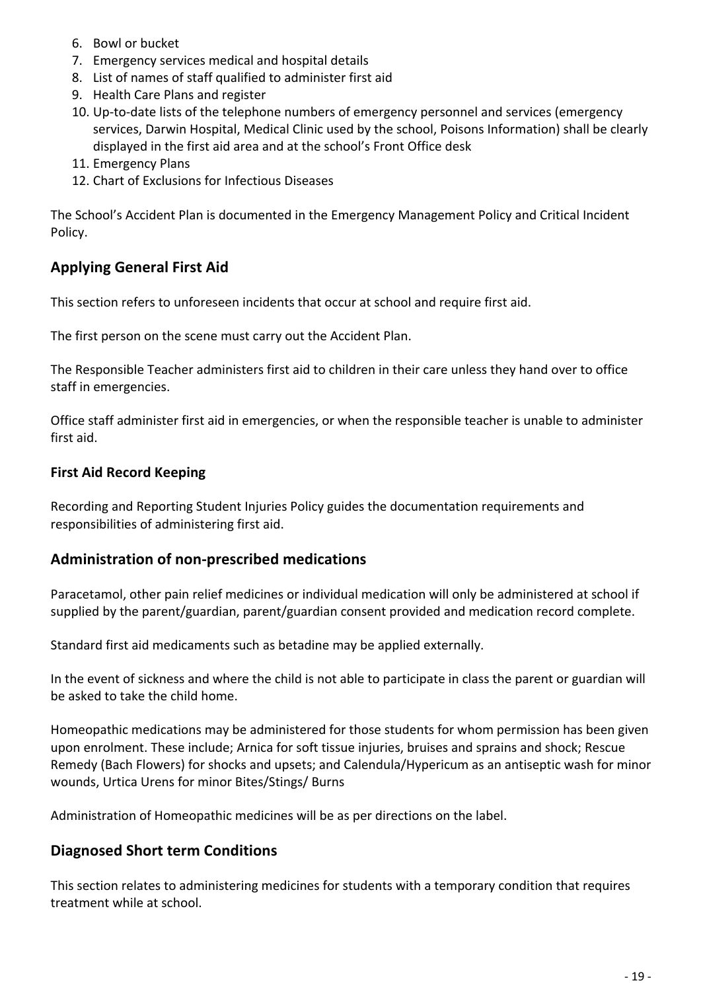- 6. Bowl or bucket
- 7. Emergency services medical and hospital details
- 8. List of names of staff qualified to administer first aid
- 9. Health Care Plans and register
- 10. Up-to-date lists of the telephone numbers of emergency personnel and services (emergency services, Darwin Hospital, Medical Clinic used by the school, Poisons Information) shall be clearly displayed in the first aid area and at the school's Front Office desk
- 11. Emergency Plans
- 12. Chart of Exclusions for Infectious Diseases

The School's Accident Plan is documented in the Emergency Management Policy and Critical Incident Policy.

#### **Applying General First Aid**

This section refers to unforeseen incidents that occur at school and require first aid.

The first person on the scene must carry out the Accident Plan.

The Responsible Teacher administers first aid to children in their care unless they hand over to office staff in emergencies.

Office staff administer first aid in emergencies, or when the responsible teacher is unable to administer first aid.

#### **First Aid Record Keeping**

Recording and Reporting Student Injuries Policy guides the documentation requirements and responsibilities of administering first aid.

#### **Administration of non-prescribed medications**

Paracetamol, other pain relief medicines or individual medication will only be administered at school if supplied by the parent/guardian, parent/guardian consent provided and medication record complete.

Standard first aid medicaments such as betadine may be applied externally.

In the event of sickness and where the child is not able to participate in class the parent or guardian will be asked to take the child home.

Homeopathic medications may be administered for those students for whom permission has been given upon enrolment. These include; Arnica for soft tissue injuries, bruises and sprains and shock; Rescue Remedy (Bach Flowers) for shocks and upsets; and Calendula/Hypericum as an antiseptic wash for minor wounds, Urtica Urens for minor Bites/Stings/ Burns

Administration of Homeopathic medicines will be as per directions on the label.

#### **Diagnosed Short term Conditions**

This section relates to administering medicines for students with a temporary condition that requires treatment while at school.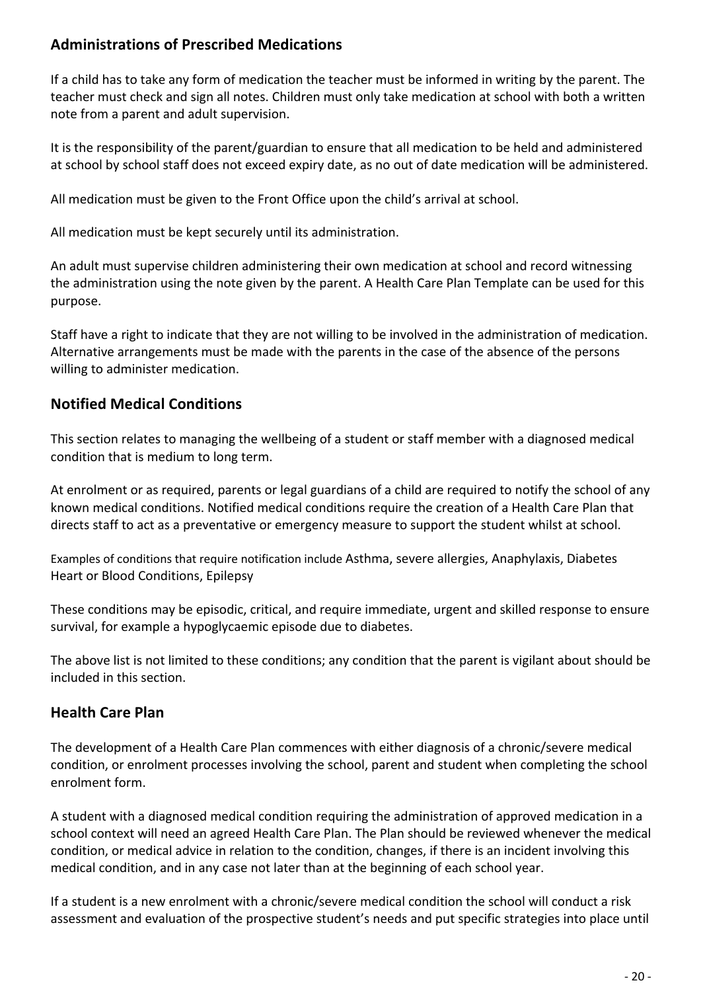### **Administrations of Prescribed Medications**

If a child has to take any form of medication the teacher must be informed in writing by the parent. The teacher must check and sign all notes. Children must only take medication at school with both a written note from a parent and adult supervision.

It is the responsibility of the parent/guardian to ensure that all medication to be held and administered at school by school staff does not exceed expiry date, as no out of date medication will be administered.

All medication must be given to the Front Office upon the child's arrival at school.

All medication must be kept securely until its administration.

An adult must supervise children administering their own medication at school and record witnessing the administration using the note given by the parent. A Health Care Plan Template can be used for this purpose.

Staff have a right to indicate that they are not willing to be involved in the administration of medication. Alternative arrangements must be made with the parents in the case of the absence of the persons willing to administer medication.

### **Notified Medical Conditions**

This section relates to managing the wellbeing of a student or staff member with a diagnosed medical condition that is medium to long term.

At enrolment or as required, parents or legal guardians of a child are required to notify the school of any known medical conditions. Notified medical conditions require the creation of a Health Care Plan that directs staff to act as a preventative or emergency measure to support the student whilst at school.

Examples of conditions that require notification include Asthma, severe allergies, Anaphylaxis, Diabetes Heart or Blood Conditions, Epilepsy

These conditions may be episodic, critical, and require immediate, urgent and skilled response to ensure survival, for example a hypoglycaemic episode due to diabetes.

The above list is not limited to these conditions; any condition that the parent is vigilant about should be included in this section.

### **Health Care Plan**

The development of a Health Care Plan commences with either diagnosis of a chronic/severe medical condition, or enrolment processes involving the school, parent and student when completing the school enrolment form.

A student with a diagnosed medical condition requiring the administration of approved medication in a school context will need an agreed Health Care Plan. The Plan should be reviewed whenever the medical condition, or medical advice in relation to the condition, changes, if there is an incident involving this medical condition, and in any case not later than at the beginning of each school year.

If a student is a new enrolment with a chronic/severe medical condition the school will conduct a risk assessment and evaluation of the prospective student's needs and put specific strategies into place until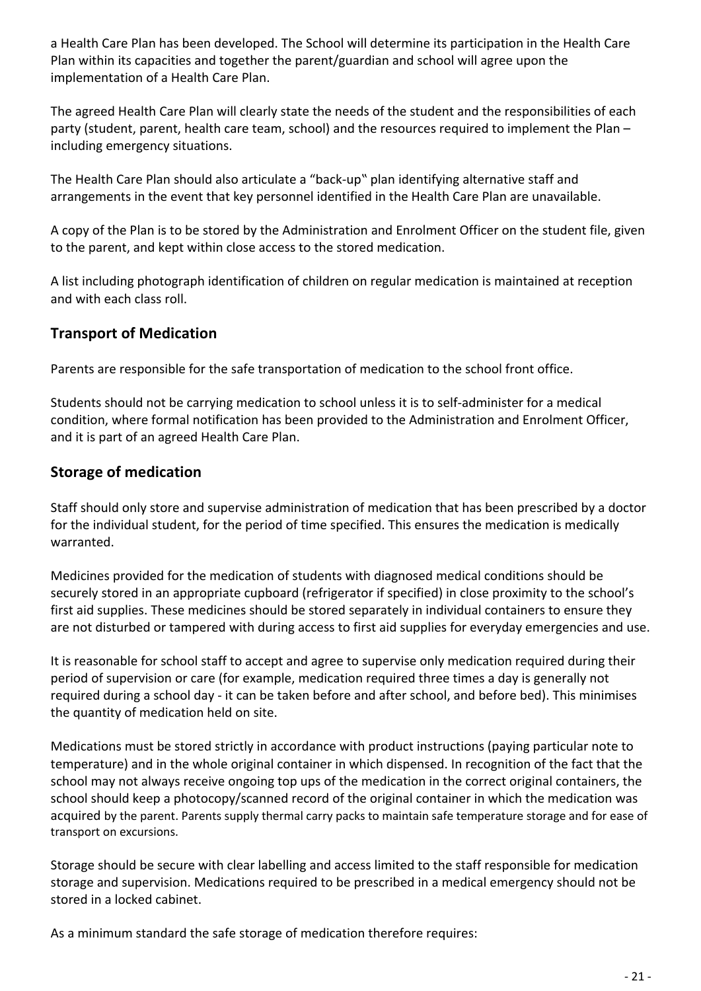a Health Care Plan has been developed. The School will determine its participation in the Health Care Plan within its capacities and together the parent/guardian and school will agree upon the implementation of a Health Care Plan.

The agreed Health Care Plan will clearly state the needs of the student and the responsibilities of each party (student, parent, health care team, school) and the resources required to implement the Plan – including emergency situations.

The Health Care Plan should also articulate a "back-up" plan identifying alternative staff and arrangements in the event that key personnel identified in the Health Care Plan are unavailable.

A copy of the Plan is to be stored by the Administration and Enrolment Officer on the student file, given to the parent, and kept within close access to the stored medication.

A list including photograph identification of children on regular medication is maintained at reception and with each class roll.

### **Transport of Medication**

Parents are responsible for the safe transportation of medication to the school front office.

Students should not be carrying medication to school unless it is to self-administer for a medical condition, where formal notification has been provided to the Administration and Enrolment Officer, and it is part of an agreed Health Care Plan.

### **Storage of medication**

Staff should only store and supervise administration of medication that has been prescribed by a doctor for the individual student, for the period of time specified. This ensures the medication is medically warranted.

Medicines provided for the medication of students with diagnosed medical conditions should be securely stored in an appropriate cupboard (refrigerator if specified) in close proximity to the school's first aid supplies. These medicines should be stored separately in individual containers to ensure they are not disturbed or tampered with during access to first aid supplies for everyday emergencies and use.

It is reasonable for school staff to accept and agree to supervise only medication required during their period of supervision or care (for example, medication required three times a day is generally not required during a school day - it can be taken before and after school, and before bed). This minimises the quantity of medication held on site.

Medications must be stored strictly in accordance with product instructions (paying particular note to temperature) and in the whole original container in which dispensed. In recognition of the fact that the school may not always receive ongoing top ups of the medication in the correct original containers, the school should keep a photocopy/scanned record of the original container in which the medication was acquired by the parent. Parents supply thermal carry packs to maintain safe temperature storage and for ease of transport on excursions.

Storage should be secure with clear labelling and access limited to the staff responsible for medication storage and supervision. Medications required to be prescribed in a medical emergency should not be stored in a locked cabinet.

As a minimum standard the safe storage of medication therefore requires: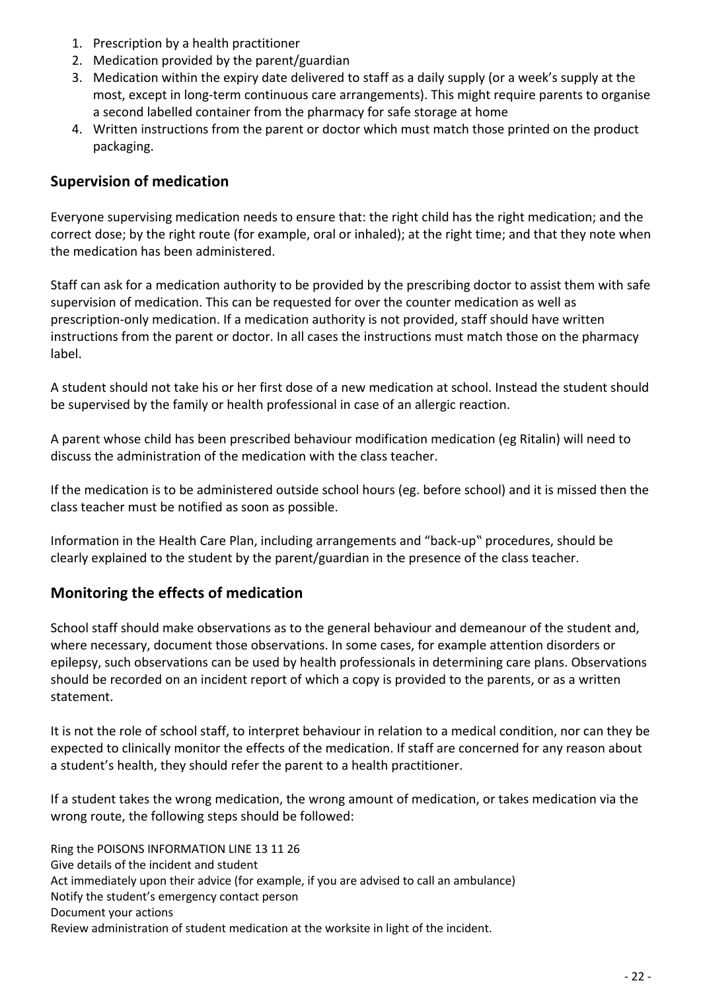- 1. Prescription by a health practitioner
- 2. Medication provided by the parent/guardian
- 3. Medication within the expiry date delivered to staff as a daily supply (or a week's supply at the most, except in long-term continuous care arrangements). This might require parents to organise a second labelled container from the pharmacy for safe storage at home
- 4. Written instructions from the parent or doctor which must match those printed on the product packaging.

#### **Supervision of medication**

Everyone supervising medication needs to ensure that: the right child has the right medication; and the correct dose; by the right route (for example, oral or inhaled); at the right time; and that they note when the medication has been administered.

Staff can ask for a medication authority to be provided by the prescribing doctor to assist them with safe supervision of medication. This can be requested for over the counter medication as well as prescription-only medication. If a medication authority is not provided, staff should have written instructions from the parent or doctor. In all cases the instructions must match those on the pharmacy label.

A student should not take his or her first dose of a new medication at school. Instead the student should be supervised by the family or health professional in case of an allergic reaction.

A parent whose child has been prescribed behaviour modification medication (eg Ritalin) will need to discuss the administration of the medication with the class teacher.

If the medication is to be administered outside school hours (eg. before school) and it is missed then the class teacher must be notified as soon as possible.

Information in the Health Care Plan, including arrangements and "back-up" procedures, should be clearly explained to the student by the parent/guardian in the presence of the class teacher.

#### **Monitoring the effects of medication**

School staff should make observations as to the general behaviour and demeanour of the student and, where necessary, document those observations. In some cases, for example attention disorders or epilepsy, such observations can be used by health professionals in determining care plans. Observations should be recorded on an incident report of which a copy is provided to the parents, or as a written statement.

It is not the role of school staff, to interpret behaviour in relation to a medical condition, nor can they be expected to clinically monitor the effects of the medication. If staff are concerned for any reason about a student's health, they should refer the parent to a health practitioner.

If a student takes the wrong medication, the wrong amount of medication, or takes medication via the wrong route, the following steps should be followed:

Ring the POISONS INFORMATION LINE 13 11 26 Give details of the incident and student Act immediately upon their advice (for example, if you are advised to call an ambulance) Notify the student's emergency contact person Document your actions Review administration of student medication at the worksite in light of the incident.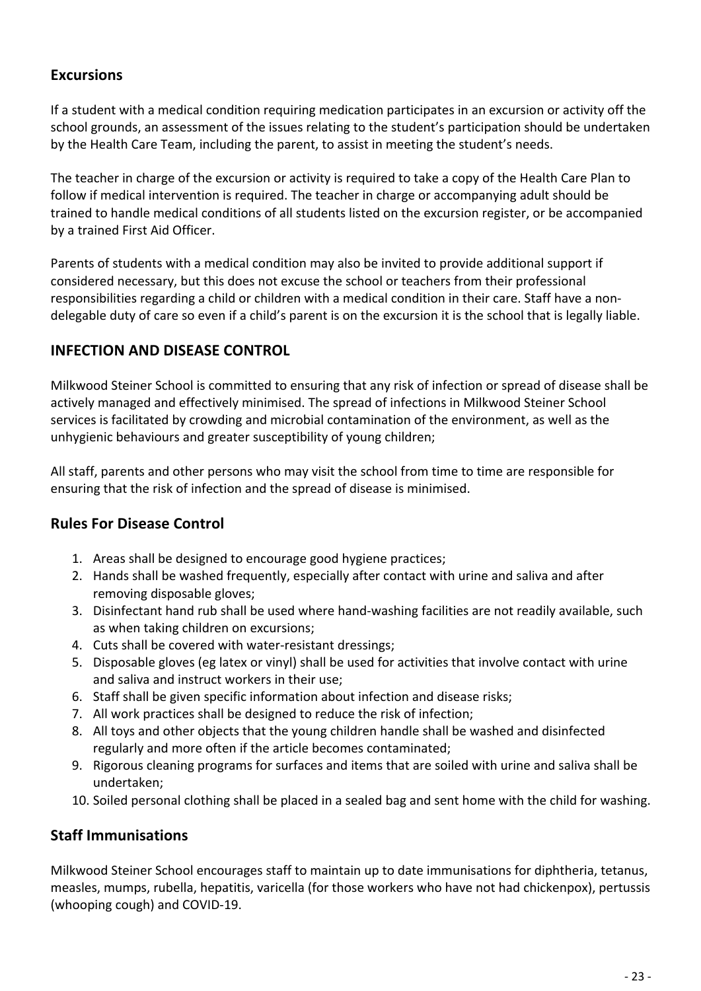### **Excursions**

If a student with a medical condition requiring medication participates in an excursion or activity off the school grounds, an assessment of the issues relating to the student's participation should be undertaken by the Health Care Team, including the parent, to assist in meeting the student's needs.

The teacher in charge of the excursion or activity is required to take a copy of the Health Care Plan to follow if medical intervention is required. The teacher in charge or accompanying adult should be trained to handle medical conditions of all students listed on the excursion register, or be accompanied by a trained First Aid Officer.

Parents of students with a medical condition may also be invited to provide additional support if considered necessary, but this does not excuse the school or teachers from their professional responsibilities regarding a child or children with a medical condition in their care. Staff have a nondelegable duty of care so even if a child's parent is on the excursion it is the school that is legally liable.

### **INFECTION AND DISEASE CONTROL**

Milkwood Steiner School is committed to ensuring that any risk of infection or spread of disease shall be actively managed and effectively minimised. The spread of infections in Milkwood Steiner School services is facilitated by crowding and microbial contamination of the environment, as well as the unhygienic behaviours and greater susceptibility of young children;

All staff, parents and other persons who may visit the school from time to time are responsible for ensuring that the risk of infection and the spread of disease is minimised.

### **Rules For Disease Control**

- 1. Areas shall be designed to encourage good hygiene practices;
- 2. Hands shall be washed frequently, especially after contact with urine and saliva and after removing disposable gloves;
- 3. Disinfectant hand rub shall be used where hand-washing facilities are not readily available, such as when taking children on excursions;
- 4. Cuts shall be covered with water-resistant dressings;
- 5. Disposable gloves (eg latex or vinyl) shall be used for activities that involve contact with urine and saliva and instruct workers in their use;
- 6. Staff shall be given specific information about infection and disease risks;
- 7. All work practices shall be designed to reduce the risk of infection;
- 8. All toys and other objects that the young children handle shall be washed and disinfected regularly and more often if the article becomes contaminated;
- 9. Rigorous cleaning programs for surfaces and items that are soiled with urine and saliva shall be undertaken;
- 10. Soiled personal clothing shall be placed in a sealed bag and sent home with the child for washing.

### **Staff Immunisations**

Milkwood Steiner School encourages staff to maintain up to date immunisations for diphtheria, tetanus, measles, mumps, rubella, hepatitis, varicella (for those workers who have not had chickenpox), pertussis (whooping cough) and COVID-19.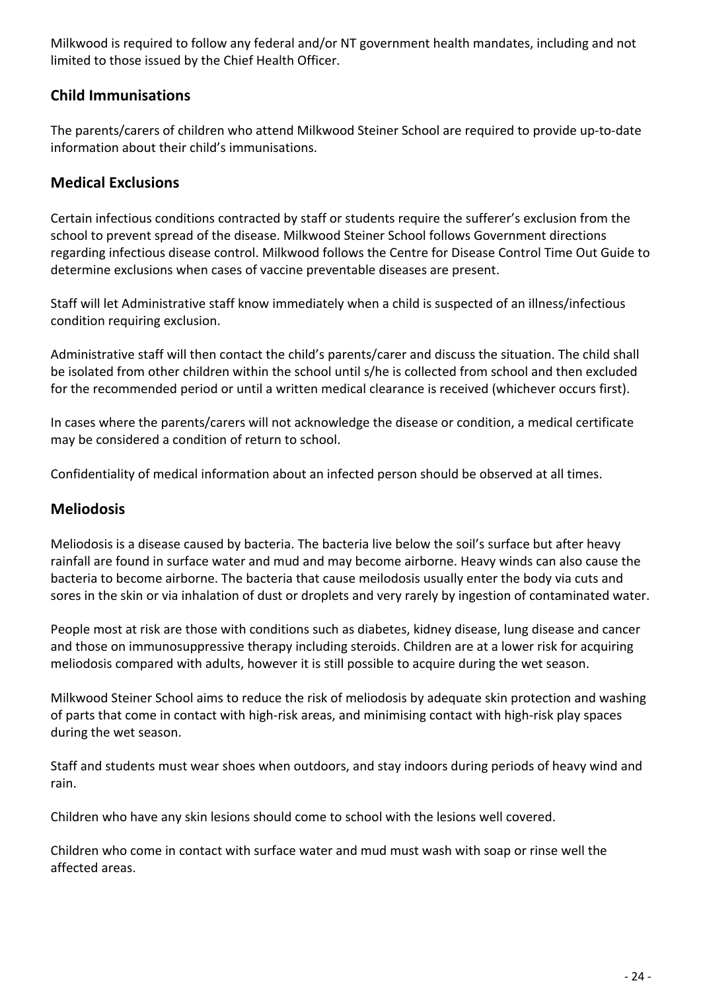Milkwood is required to follow any federal and/or NT government health mandates, including and not limited to those issued by the Chief Health Officer.

### **Child Immunisations**

The parents/carers of children who attend Milkwood Steiner School are required to provide up-to-date information about their child's immunisations.

### **Medical Exclusions**

Certain infectious conditions contracted by staff or students require the sufferer's exclusion from the school to prevent spread of the disease. Milkwood Steiner School follows Government directions regarding infectious disease control. Milkwood follows the Centre for Disease Control Time Out Guide to determine exclusions when cases of vaccine preventable diseases are present.

Staff will let Administrative staff know immediately when a child is suspected of an illness/infectious condition requiring exclusion.

Administrative staff will then contact the child's parents/carer and discuss the situation. The child shall be isolated from other children within the school until s/he is collected from school and then excluded for the recommended period or until a written medical clearance is received (whichever occurs first).

In cases where the parents/carers will not acknowledge the disease or condition, a medical certificate may be considered a condition of return to school.

Confidentiality of medical information about an infected person should be observed at all times.

#### **Meliodosis**

Meliodosis is a disease caused by bacteria. The bacteria live below the soil's surface but after heavy rainfall are found in surface water and mud and may become airborne. Heavy winds can also cause the bacteria to become airborne. The bacteria that cause meilodosis usually enter the body via cuts and sores in the skin or via inhalation of dust or droplets and very rarely by ingestion of contaminated water.

People most at risk are those with conditions such as diabetes, kidney disease, lung disease and cancer and those on immunosuppressive therapy including steroids. Children are at a lower risk for acquiring meliodosis compared with adults, however it is still possible to acquire during the wet season.

Milkwood Steiner School aims to reduce the risk of meliodosis by adequate skin protection and washing of parts that come in contact with high-risk areas, and minimising contact with high-risk play spaces during the wet season.

Staff and students must wear shoes when outdoors, and stay indoors during periods of heavy wind and rain.

Children who have any skin lesions should come to school with the lesions well covered.

Children who come in contact with surface water and mud must wash with soap or rinse well the affected areas.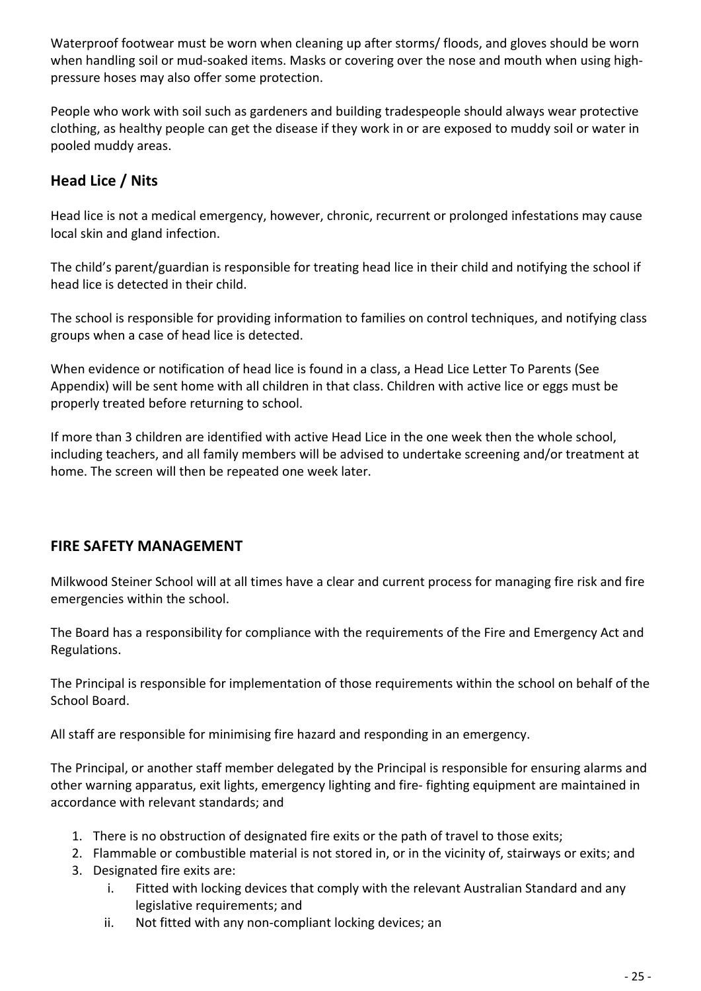Waterproof footwear must be worn when cleaning up after storms/ floods, and gloves should be worn when handling soil or mud-soaked items. Masks or covering over the nose and mouth when using highpressure hoses may also offer some protection.

People who work with soil such as gardeners and building tradespeople should always wear protective clothing, as healthy people can get the disease if they work in or are exposed to muddy soil or water in pooled muddy areas.

# **Head Lice / Nits**

Head lice is not a medical emergency, however, chronic, recurrent or prolonged infestations may cause local skin and gland infection.

The child's parent/guardian is responsible for treating head lice in their child and notifying the school if head lice is detected in their child.

The school is responsible for providing information to families on control techniques, and notifying class groups when a case of head lice is detected.

When evidence or notification of head lice is found in a class, a Head Lice Letter To Parents (See Appendix) will be sent home with all children in that class. Children with active lice or eggs must be properly treated before returning to school.

If more than 3 children are identified with active Head Lice in the one week then the whole school, including teachers, and all family members will be advised to undertake screening and/or treatment at home. The screen will then be repeated one week later.

### **FIRE SAFETY MANAGEMENT**

Milkwood Steiner School will at all times have a clear and current process for managing fire risk and fire emergencies within the school.

The Board has a responsibility for compliance with the requirements of the Fire and Emergency Act and Regulations.

The Principal is responsible for implementation of those requirements within the school on behalf of the School Board.

All staff are responsible for minimising fire hazard and responding in an emergency.

The Principal, or another staff member delegated by the Principal is responsible for ensuring alarms and other warning apparatus, exit lights, emergency lighting and fire- fighting equipment are maintained in accordance with relevant standards; and

- 1. There is no obstruction of designated fire exits or the path of travel to those exits;
- 2. Flammable or combustible material is not stored in, or in the vicinity of, stairways or exits; and
- 3. Designated fire exits are:
	- i. Fitted with locking devices that comply with the relevant Australian Standard and any legislative requirements; and
	- ii. Not fitted with any non-compliant locking devices; an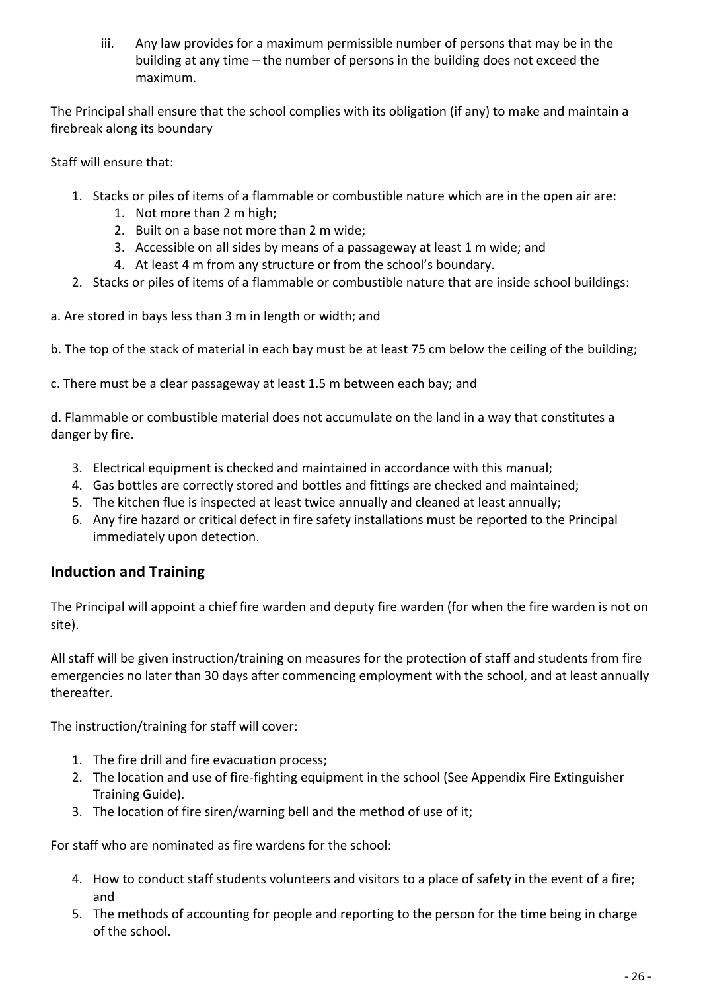iii. Any law provides for a maximum permissible number of persons that may be in the building at any time – the number of persons in the building does not exceed the maximum.

The Principal shall ensure that the school complies with its obligation (if any) to make and maintain a firebreak along its boundary

Staff will ensure that:

- 1. Stacks or piles of items of a flammable or combustible nature which are in the open air are:
	- 1. Not more than 2 m high;
	- 2. Built on a base not more than 2 m wide;
	- 3. Accessible on all sides by means of a passageway at least 1 m wide; and
	- 4. At least 4 m from any structure or from the school's boundary.
- 2. Stacks or piles of items of a flammable or combustible nature that are inside school buildings:
- a. Are stored in bays less than 3 m in length or width; and
- b. The top of the stack of material in each bay must be at least 75 cm below the ceiling of the building;
- c. There must be a clear passageway at least 1.5 m between each bay; and

d. Flammable or combustible material does not accumulate on the land in a way that constitutes a danger by fire.

- 3. Electrical equipment is checked and maintained in accordance with this manual;
- 4. Gas bottles are correctly stored and bottles and fittings are checked and maintained;
- 5. The kitchen flue is inspected at least twice annually and cleaned at least annually;
- 6. Any fire hazard or critical defect in fire safety installations must be reported to the Principal immediately upon detection.

#### **Induction and Training**

The Principal will appoint a chief fire warden and deputy fire warden (for when the fire warden is not on site).

All staff will be given instruction/training on measures for the protection of staff and students from fire emergencies no later than 30 days after commencing employment with the school, and at least annually thereafter.

The instruction/training for staff will cover:

- 1. The fire drill and fire evacuation process;
- 2. The location and use of fire-fighting equipment in the school (See Appendix Fire Extinguisher Training Guide).
- 3. The location of fire siren/warning bell and the method of use of it;

For staff who are nominated as fire wardens for the school:

- 4. How to conduct staff students volunteers and visitors to a place of safety in the event of a fire; and
- 5. The methods of accounting for people and reporting to the person for the time being in charge of the school.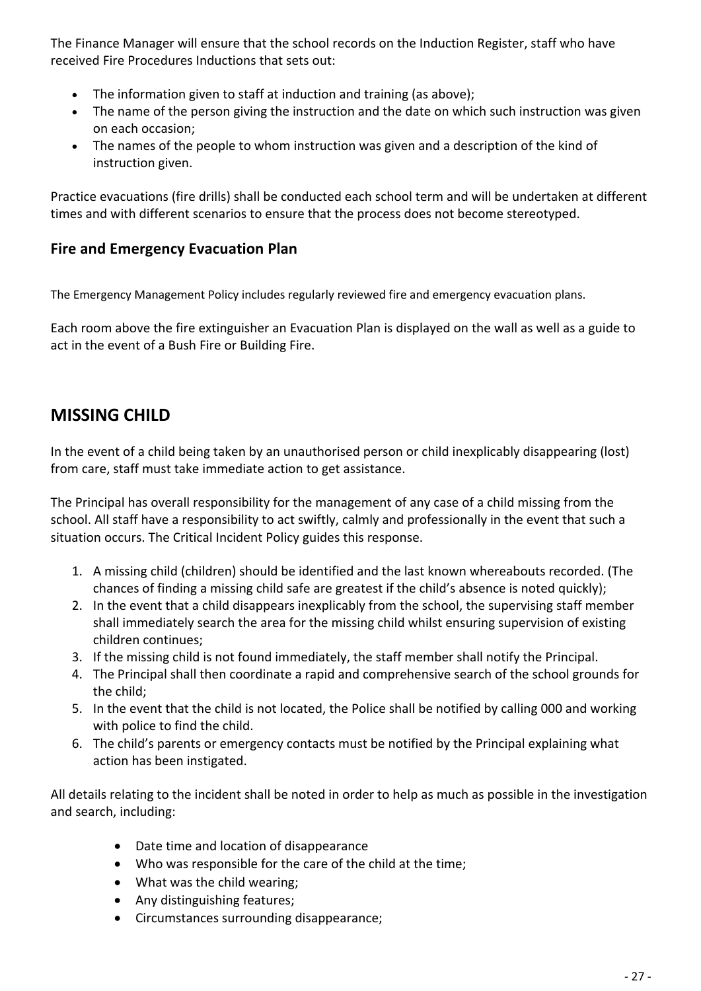The Finance Manager will ensure that the school records on the Induction Register, staff who have received Fire Procedures Inductions that sets out:

- The information given to staff at induction and training (as above);
- The name of the person giving the instruction and the date on which such instruction was given on each occasion;
- The names of the people to whom instruction was given and a description of the kind of instruction given.

Practice evacuations (fire drills) shall be conducted each school term and will be undertaken at different times and with different scenarios to ensure that the process does not become stereotyped.

### **Fire and Emergency Evacuation Plan**

The Emergency Management Policy includes regularly reviewed fire and emergency evacuation plans.

Each room above the fire extinguisher an Evacuation Plan is displayed on the wall as well as a guide to act in the event of a Bush Fire or Building Fire.

# **MISSING CHILD**

In the event of a child being taken by an unauthorised person or child inexplicably disappearing (lost) from care, staff must take immediate action to get assistance.

The Principal has overall responsibility for the management of any case of a child missing from the school. All staff have a responsibility to act swiftly, calmly and professionally in the event that such a situation occurs. The Critical Incident Policy guides this response.

- 1. A missing child (children) should be identified and the last known whereabouts recorded. (The chances of finding a missing child safe are greatest if the child's absence is noted quickly);
- 2. In the event that a child disappears inexplicably from the school, the supervising staff member shall immediately search the area for the missing child whilst ensuring supervision of existing children continues;
- 3. If the missing child is not found immediately, the staff member shall notify the Principal.
- 4. The Principal shall then coordinate a rapid and comprehensive search of the school grounds for the child;
- 5. In the event that the child is not located, the Police shall be notified by calling 000 and working with police to find the child.
- 6. The child's parents or emergency contacts must be notified by the Principal explaining what action has been instigated.

All details relating to the incident shall be noted in order to help as much as possible in the investigation and search, including:

- Date time and location of disappearance
- Who was responsible for the care of the child at the time;
- What was the child wearing;
- Any distinguishing features;
- Circumstances surrounding disappearance;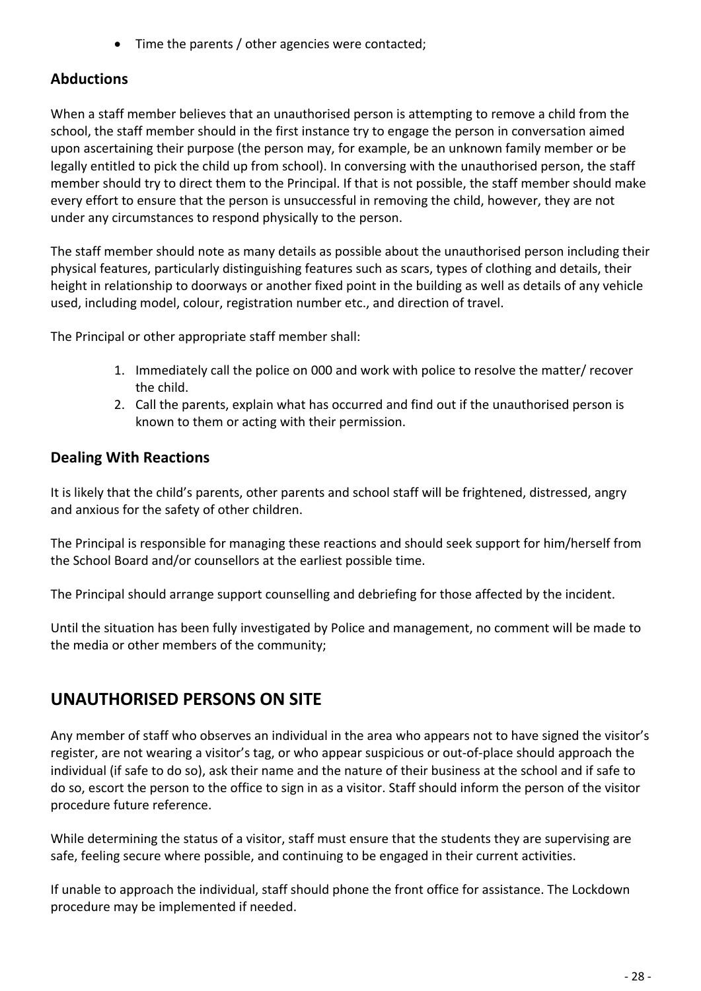• Time the parents / other agencies were contacted;

### **Abductions**

When a staff member believes that an unauthorised person is attempting to remove a child from the school, the staff member should in the first instance try to engage the person in conversation aimed upon ascertaining their purpose (the person may, for example, be an unknown family member or be legally entitled to pick the child up from school). In conversing with the unauthorised person, the staff member should try to direct them to the Principal. If that is not possible, the staff member should make every effort to ensure that the person is unsuccessful in removing the child, however, they are not under any circumstances to respond physically to the person.

The staff member should note as many details as possible about the unauthorised person including their physical features, particularly distinguishing features such as scars, types of clothing and details, their height in relationship to doorways or another fixed point in the building as well as details of any vehicle used, including model, colour, registration number etc., and direction of travel.

The Principal or other appropriate staff member shall:

- 1. Immediately call the police on 000 and work with police to resolve the matter/ recover the child.
- 2. Call the parents, explain what has occurred and find out if the unauthorised person is known to them or acting with their permission.

#### **Dealing With Reactions**

It is likely that the child's parents, other parents and school staff will be frightened, distressed, angry and anxious for the safety of other children.

The Principal is responsible for managing these reactions and should seek support for him/herself from the School Board and/or counsellors at the earliest possible time.

The Principal should arrange support counselling and debriefing for those affected by the incident.

Until the situation has been fully investigated by Police and management, no comment will be made to the media or other members of the community;

# **UNAUTHORISED PERSONS ON SITE**

Any member of staff who observes an individual in the area who appears not to have signed the visitor's register, are not wearing a visitor's tag, or who appear suspicious or out-of-place should approach the individual (if safe to do so), ask their name and the nature of their business at the school and if safe to do so, escort the person to the office to sign in as a visitor. Staff should inform the person of the visitor procedure future reference.

While determining the status of a visitor, staff must ensure that the students they are supervising are safe, feeling secure where possible, and continuing to be engaged in their current activities.

If unable to approach the individual, staff should phone the front office for assistance. The Lockdown procedure may be implemented if needed.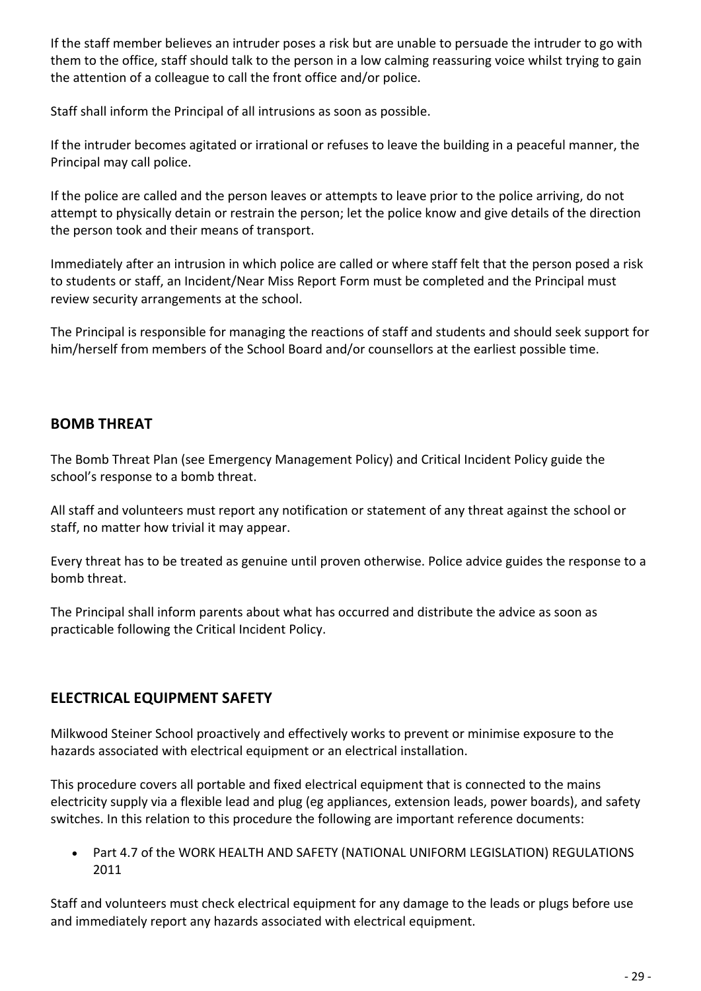If the staff member believes an intruder poses a risk but are unable to persuade the intruder to go with them to the office, staff should talk to the person in a low calming reassuring voice whilst trying to gain the attention of a colleague to call the front office and/or police.

Staff shall inform the Principal of all intrusions as soon as possible.

If the intruder becomes agitated or irrational or refuses to leave the building in a peaceful manner, the Principal may call police.

If the police are called and the person leaves or attempts to leave prior to the police arriving, do not attempt to physically detain or restrain the person; let the police know and give details of the direction the person took and their means of transport.

Immediately after an intrusion in which police are called or where staff felt that the person posed a risk to students or staff, an Incident/Near Miss Report Form must be completed and the Principal must review security arrangements at the school.

The Principal is responsible for managing the reactions of staff and students and should seek support for him/herself from members of the School Board and/or counsellors at the earliest possible time.

### **BOMB THREAT**

The Bomb Threat Plan (see Emergency Management Policy) and Critical Incident Policy guide the school's response to a bomb threat.

All staff and volunteers must report any notification or statement of any threat against the school or staff, no matter how trivial it may appear.

Every threat has to be treated as genuine until proven otherwise. Police advice guides the response to a bomb threat.

The Principal shall inform parents about what has occurred and distribute the advice as soon as practicable following the Critical Incident Policy.

# **ELECTRICAL EQUIPMENT SAFETY**

Milkwood Steiner School proactively and effectively works to prevent or minimise exposure to the hazards associated with electrical equipment or an electrical installation.

This procedure covers all portable and fixed electrical equipment that is connected to the mains electricity supply via a flexible lead and plug (eg appliances, extension leads, power boards), and safety switches. In this relation to this procedure the following are important reference documents:

• Part 4.7 of the WORK HEALTH AND SAFETY (NATIONAL UNIFORM LEGISLATION) REGULATIONS 2011

Staff and volunteers must check electrical equipment for any damage to the leads or plugs before use and immediately report any hazards associated with electrical equipment.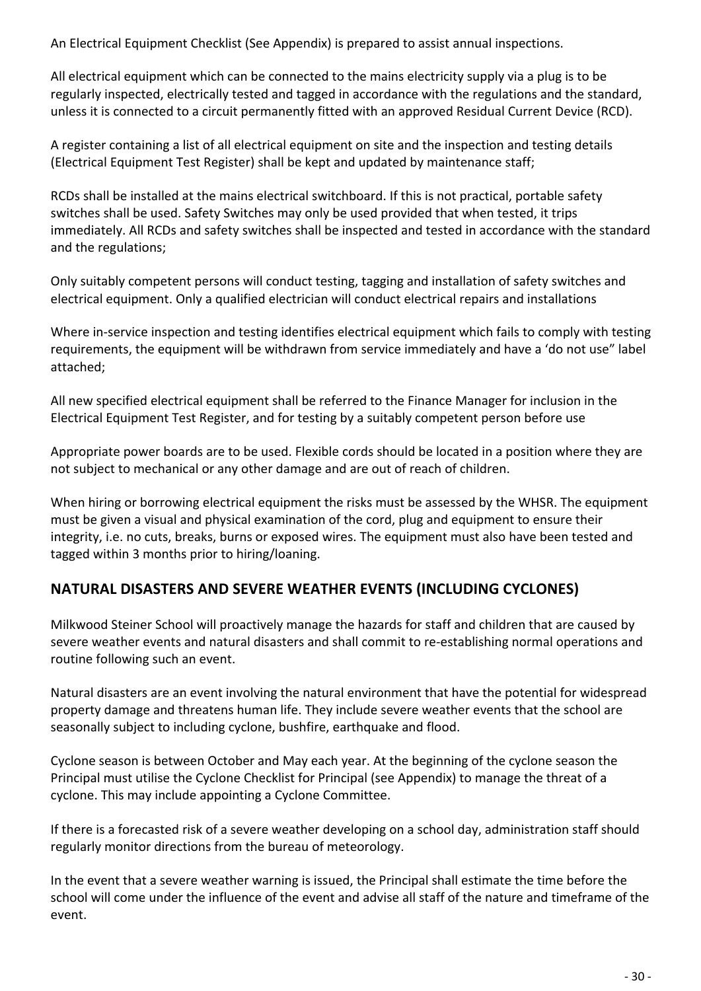An Electrical Equipment Checklist (See Appendix) is prepared to assist annual inspections.

All electrical equipment which can be connected to the mains electricity supply via a plug is to be regularly inspected, electrically tested and tagged in accordance with the regulations and the standard, unless it is connected to a circuit permanently fitted with an approved Residual Current Device (RCD).

A register containing a list of all electrical equipment on site and the inspection and testing details (Electrical Equipment Test Register) shall be kept and updated by maintenance staff;

RCDs shall be installed at the mains electrical switchboard. If this is not practical, portable safety switches shall be used. Safety Switches may only be used provided that when tested, it trips immediately. All RCDs and safety switches shall be inspected and tested in accordance with the standard and the regulations;

Only suitably competent persons will conduct testing, tagging and installation of safety switches and electrical equipment. Only a qualified electrician will conduct electrical repairs and installations

Where in-service inspection and testing identifies electrical equipment which fails to comply with testing requirements, the equipment will be withdrawn from service immediately and have a 'do not use" label attached;

All new specified electrical equipment shall be referred to the Finance Manager for inclusion in the Electrical Equipment Test Register, and for testing by a suitably competent person before use

Appropriate power boards are to be used. Flexible cords should be located in a position where they are not subject to mechanical or any other damage and are out of reach of children.

When hiring or borrowing electrical equipment the risks must be assessed by the WHSR. The equipment must be given a visual and physical examination of the cord, plug and equipment to ensure their integrity, i.e. no cuts, breaks, burns or exposed wires. The equipment must also have been tested and tagged within 3 months prior to hiring/loaning.

# **NATURAL DISASTERS AND SEVERE WEATHER EVENTS (INCLUDING CYCLONES)**

Milkwood Steiner School will proactively manage the hazards for staff and children that are caused by severe weather events and natural disasters and shall commit to re-establishing normal operations and routine following such an event.

Natural disasters are an event involving the natural environment that have the potential for widespread property damage and threatens human life. They include severe weather events that the school are seasonally subject to including cyclone, bushfire, earthquake and flood.

Cyclone season is between October and May each year. At the beginning of the cyclone season the Principal must utilise the Cyclone Checklist for Principal (see Appendix) to manage the threat of a cyclone. This may include appointing a Cyclone Committee.

If there is a forecasted risk of a severe weather developing on a school day, administration staff should regularly monitor directions from the bureau of meteorology.

In the event that a severe weather warning is issued, the Principal shall estimate the time before the school will come under the influence of the event and advise all staff of the nature and timeframe of the event.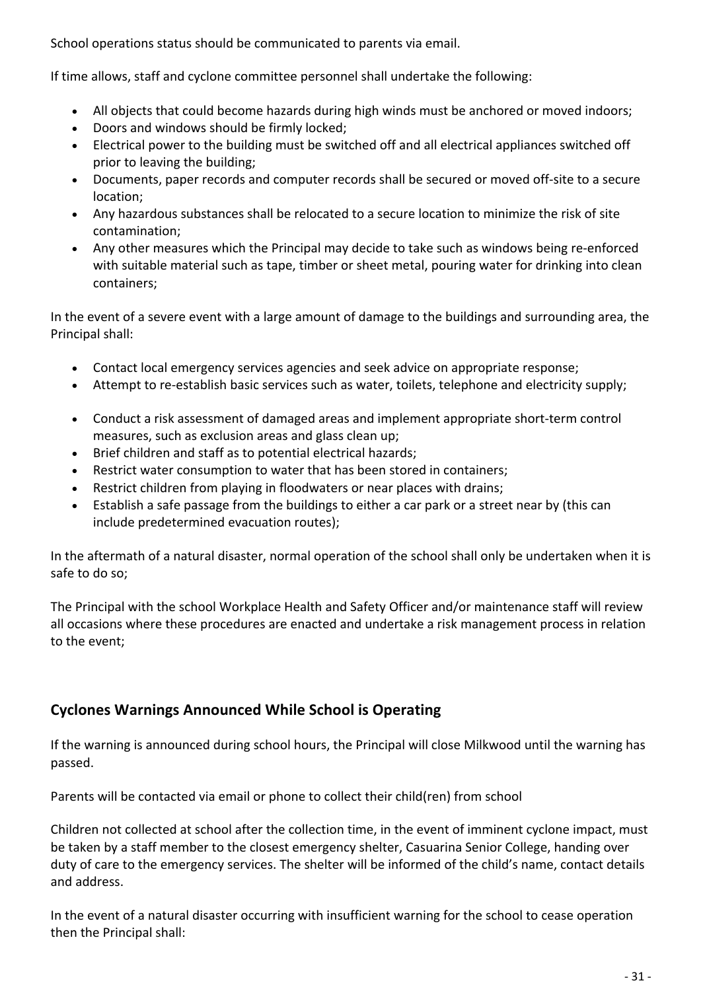School operations status should be communicated to parents via email.

If time allows, staff and cyclone committee personnel shall undertake the following:

- All objects that could become hazards during high winds must be anchored or moved indoors;
- Doors and windows should be firmly locked;
- Electrical power to the building must be switched off and all electrical appliances switched off prior to leaving the building;
- Documents, paper records and computer records shall be secured or moved off-site to a secure location;
- Any hazardous substances shall be relocated to a secure location to minimize the risk of site contamination;
- Any other measures which the Principal may decide to take such as windows being re-enforced with suitable material such as tape, timber or sheet metal, pouring water for drinking into clean containers;

In the event of a severe event with a large amount of damage to the buildings and surrounding area, the Principal shall:

- Contact local emergency services agencies and seek advice on appropriate response;
- Attempt to re-establish basic services such as water, toilets, telephone and electricity supply;
- Conduct a risk assessment of damaged areas and implement appropriate short-term control measures, such as exclusion areas and glass clean up;
- Brief children and staff as to potential electrical hazards;
- Restrict water consumption to water that has been stored in containers;
- Restrict children from playing in floodwaters or near places with drains;
- Establish a safe passage from the buildings to either a car park or a street near by (this can include predetermined evacuation routes);

In the aftermath of a natural disaster, normal operation of the school shall only be undertaken when it is safe to do so;

The Principal with the school Workplace Health and Safety Officer and/or maintenance staff will review all occasions where these procedures are enacted and undertake a risk management process in relation to the event;

### **Cyclones Warnings Announced While School is Operating**

If the warning is announced during school hours, the Principal will close Milkwood until the warning has passed.

Parents will be contacted via email or phone to collect their child(ren) from school

Children not collected at school after the collection time, in the event of imminent cyclone impact, must be taken by a staff member to the closest emergency shelter, Casuarina Senior College, handing over duty of care to the emergency services. The shelter will be informed of the child's name, contact details and address.

In the event of a natural disaster occurring with insufficient warning for the school to cease operation then the Principal shall: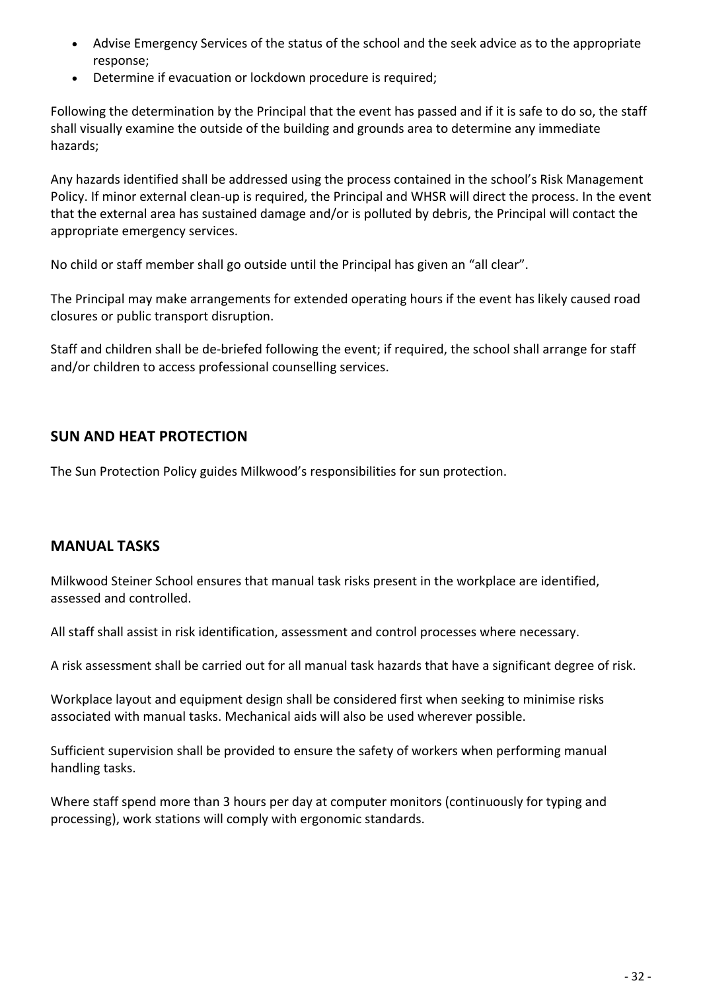- Advise Emergency Services of the status of the school and the seek advice as to the appropriate response;
- Determine if evacuation or lockdown procedure is required;

Following the determination by the Principal that the event has passed and if it is safe to do so, the staff shall visually examine the outside of the building and grounds area to determine any immediate hazards;

Any hazards identified shall be addressed using the process contained in the school's Risk Management Policy. If minor external clean-up is required, the Principal and WHSR will direct the process. In the event that the external area has sustained damage and/or is polluted by debris, the Principal will contact the appropriate emergency services.

No child or staff member shall go outside until the Principal has given an "all clear".

The Principal may make arrangements for extended operating hours if the event has likely caused road closures or public transport disruption.

Staff and children shall be de-briefed following the event; if required, the school shall arrange for staff and/or children to access professional counselling services.

### **SUN AND HEAT PROTECTION**

The Sun Protection Policy guides Milkwood's responsibilities for sun protection.

#### **MANUAL TASKS**

Milkwood Steiner School ensures that manual task risks present in the workplace are identified, assessed and controlled.

All staff shall assist in risk identification, assessment and control processes where necessary.

A risk assessment shall be carried out for all manual task hazards that have a significant degree of risk.

Workplace layout and equipment design shall be considered first when seeking to minimise risks associated with manual tasks. Mechanical aids will also be used wherever possible.

Sufficient supervision shall be provided to ensure the safety of workers when performing manual handling tasks.

Where staff spend more than 3 hours per day at computer monitors (continuously for typing and processing), work stations will comply with ergonomic standards.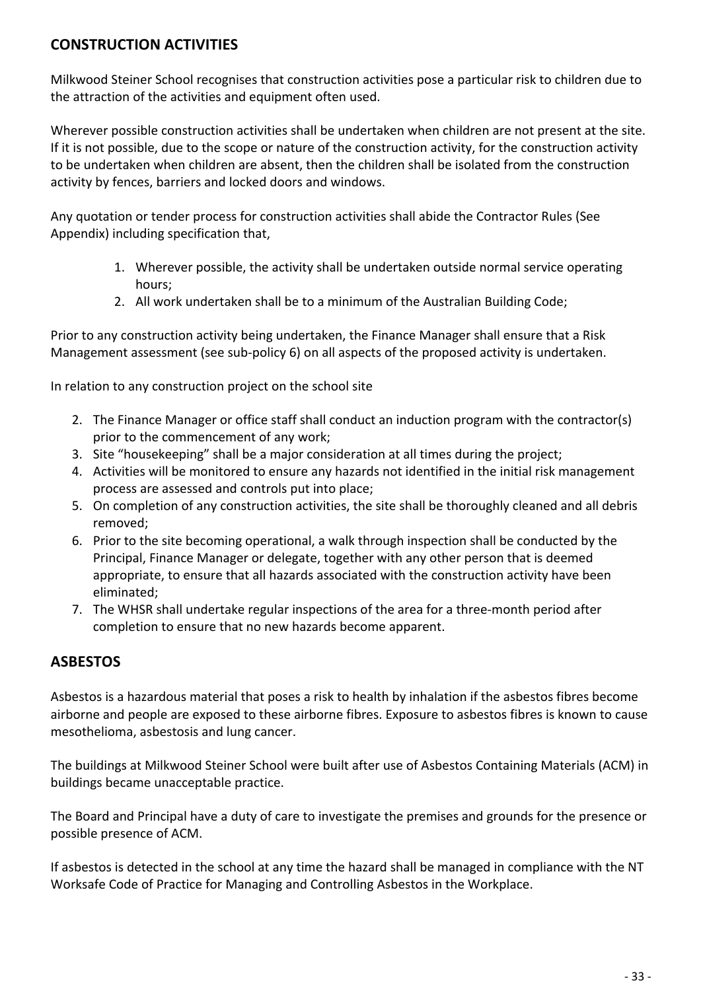### **CONSTRUCTION ACTIVITIES**

Milkwood Steiner School recognises that construction activities pose a particular risk to children due to the attraction of the activities and equipment often used.

Wherever possible construction activities shall be undertaken when children are not present at the site. If it is not possible, due to the scope or nature of the construction activity, for the construction activity to be undertaken when children are absent, then the children shall be isolated from the construction activity by fences, barriers and locked doors and windows.

Any quotation or tender process for construction activities shall abide the Contractor Rules (See Appendix) including specification that,

- 1. Wherever possible, the activity shall be undertaken outside normal service operating hours;
- 2. All work undertaken shall be to a minimum of the Australian Building Code;

Prior to any construction activity being undertaken, the Finance Manager shall ensure that a Risk Management assessment (see sub-policy 6) on all aspects of the proposed activity is undertaken.

In relation to any construction project on the school site

- 2. The Finance Manager or office staff shall conduct an induction program with the contractor(s) prior to the commencement of any work;
- 3. Site "housekeeping" shall be a major consideration at all times during the project;
- 4. Activities will be monitored to ensure any hazards not identified in the initial risk management process are assessed and controls put into place;
- 5. On completion of any construction activities, the site shall be thoroughly cleaned and all debris removed;
- 6. Prior to the site becoming operational, a walk through inspection shall be conducted by the Principal, Finance Manager or delegate, together with any other person that is deemed appropriate, to ensure that all hazards associated with the construction activity have been eliminated;
- 7. The WHSR shall undertake regular inspections of the area for a three-month period after completion to ensure that no new hazards become apparent.

### **ASBESTOS**

Asbestos is a hazardous material that poses a risk to health by inhalation if the asbestos fibres become airborne and people are exposed to these airborne fibres. Exposure to asbestos fibres is known to cause mesothelioma, asbestosis and lung cancer.

The buildings at Milkwood Steiner School were built after use of Asbestos Containing Materials (ACM) in buildings became unacceptable practice.

The Board and Principal have a duty of care to investigate the premises and grounds for the presence or possible presence of ACM.

If asbestos is detected in the school at any time the hazard shall be managed in compliance with the NT Worksafe Code of Practice for Managing and Controlling Asbestos in the Workplace.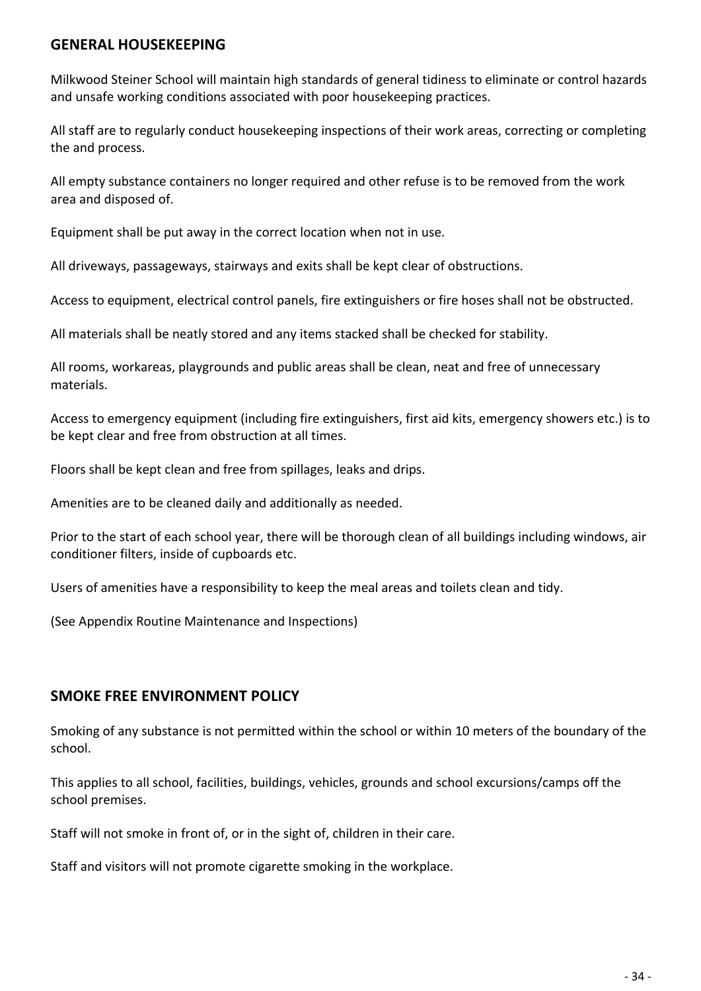#### **GENERAL HOUSEKEEPING**

Milkwood Steiner School will maintain high standards of general tidiness to eliminate or control hazards and unsafe working conditions associated with poor housekeeping practices.

All staff are to regularly conduct housekeeping inspections of their work areas, correcting or completing the and process.

All empty substance containers no longer required and other refuse is to be removed from the work area and disposed of.

Equipment shall be put away in the correct location when not in use.

All driveways, passageways, stairways and exits shall be kept clear of obstructions.

Access to equipment, electrical control panels, fire extinguishers or fire hoses shall not be obstructed.

All materials shall be neatly stored and any items stacked shall be checked for stability.

All rooms, workareas, playgrounds and public areas shall be clean, neat and free of unnecessary materials.

Access to emergency equipment (including fire extinguishers, first aid kits, emergency showers etc.) is to be kept clear and free from obstruction at all times.

Floors shall be kept clean and free from spillages, leaks and drips.

Amenities are to be cleaned daily and additionally as needed.

Prior to the start of each school year, there will be thorough clean of all buildings including windows, air conditioner filters, inside of cupboards etc.

Users of amenities have a responsibility to keep the meal areas and toilets clean and tidy.

(See Appendix Routine Maintenance and Inspections)

#### **SMOKE FREE ENVIRONMENT POLICY**

Smoking of any substance is not permitted within the school or within 10 meters of the boundary of the school.

This applies to all school, facilities, buildings, vehicles, grounds and school excursions/camps off the school premises.

Staff will not smoke in front of, or in the sight of, children in their care.

Staff and visitors will not promote cigarette smoking in the workplace.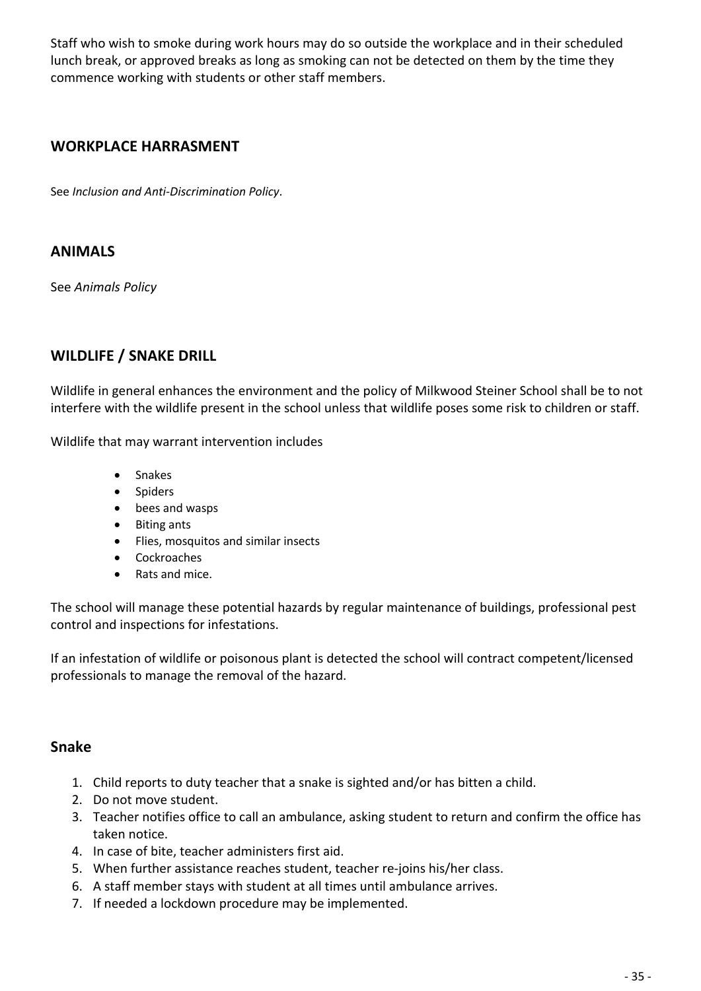Staff who wish to smoke during work hours may do so outside the workplace and in their scheduled lunch break, or approved breaks as long as smoking can not be detected on them by the time they commence working with students or other staff members.

### **WORKPLACE HARRASMENT**

See *Inclusion and Anti-Discrimination Policy*.

### **ANIMALS**

See *Animals Policy*

### **WILDLIFE / SNAKE DRILL**

Wildlife in general enhances the environment and the policy of Milkwood Steiner School shall be to not interfere with the wildlife present in the school unless that wildlife poses some risk to children or staff.

Wildlife that may warrant intervention includes

- Snakes
- Spiders
- bees and wasps
- Biting ants
- Flies, mosquitos and similar insects
- Cockroaches
- Rats and mice.

The school will manage these potential hazards by regular maintenance of buildings, professional pest control and inspections for infestations.

If an infestation of wildlife or poisonous plant is detected the school will contract competent/licensed professionals to manage the removal of the hazard.

#### **Snake**

- 1. Child reports to duty teacher that a snake is sighted and/or has bitten a child.
- 2. Do not move student.
- 3. Teacher notifies office to call an ambulance, asking student to return and confirm the office has taken notice.
- 4. In case of bite, teacher administers first aid.
- 5. When further assistance reaches student, teacher re-joins his/her class.
- 6. A staff member stays with student at all times until ambulance arrives.
- 7. If needed a lockdown procedure may be implemented.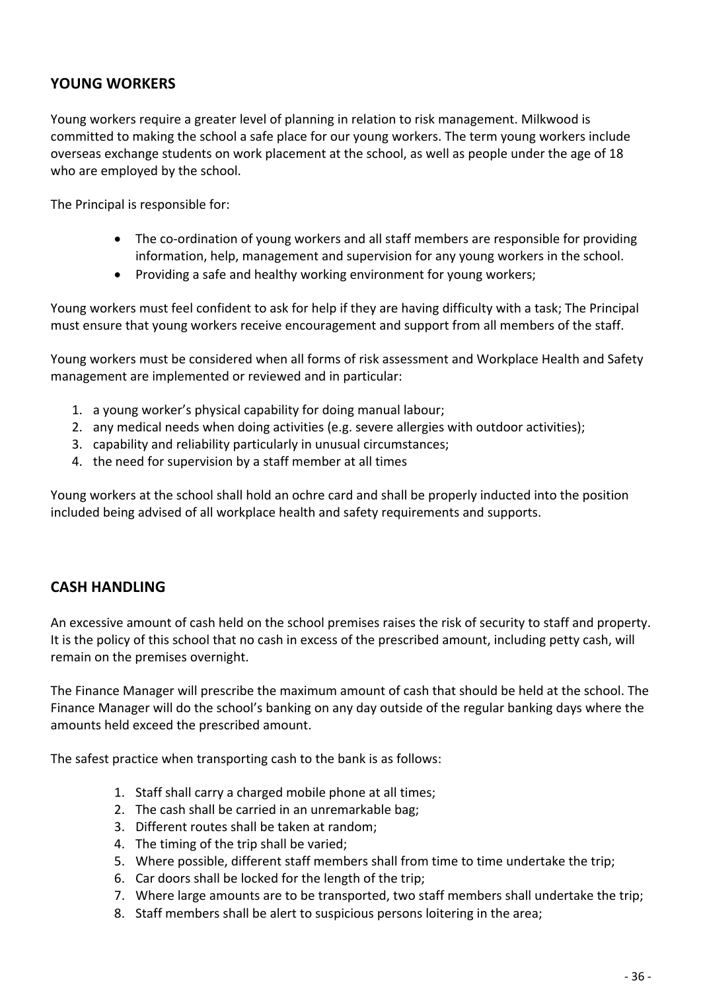### **YOUNG WORKERS**

Young workers require a greater level of planning in relation to risk management. Milkwood is committed to making the school a safe place for our young workers. The term young workers include overseas exchange students on work placement at the school, as well as people under the age of 18 who are employed by the school.

The Principal is responsible for:

- The co-ordination of young workers and all staff members are responsible for providing information, help, management and supervision for any young workers in the school.
- Providing a safe and healthy working environment for young workers;

Young workers must feel confident to ask for help if they are having difficulty with a task; The Principal must ensure that young workers receive encouragement and support from all members of the staff.

Young workers must be considered when all forms of risk assessment and Workplace Health and Safety management are implemented or reviewed and in particular:

- 1. a young worker's physical capability for doing manual labour;
- 2. any medical needs when doing activities (e.g. severe allergies with outdoor activities);
- 3. capability and reliability particularly in unusual circumstances;
- 4. the need for supervision by a staff member at all times

Young workers at the school shall hold an ochre card and shall be properly inducted into the position included being advised of all workplace health and safety requirements and supports.

#### **CASH HANDLING**

An excessive amount of cash held on the school premises raises the risk of security to staff and property. It is the policy of this school that no cash in excess of the prescribed amount, including petty cash, will remain on the premises overnight.

The Finance Manager will prescribe the maximum amount of cash that should be held at the school. The Finance Manager will do the school's banking on any day outside of the regular banking days where the amounts held exceed the prescribed amount.

The safest practice when transporting cash to the bank is as follows:

- 1. Staff shall carry a charged mobile phone at all times;
- 2. The cash shall be carried in an unremarkable bag;
- 3. Different routes shall be taken at random;
- 4. The timing of the trip shall be varied;
- 5. Where possible, different staff members shall from time to time undertake the trip;
- 6. Car doors shall be locked for the length of the trip;
- 7. Where large amounts are to be transported, two staff members shall undertake the trip;
- 8. Staff members shall be alert to suspicious persons loitering in the area;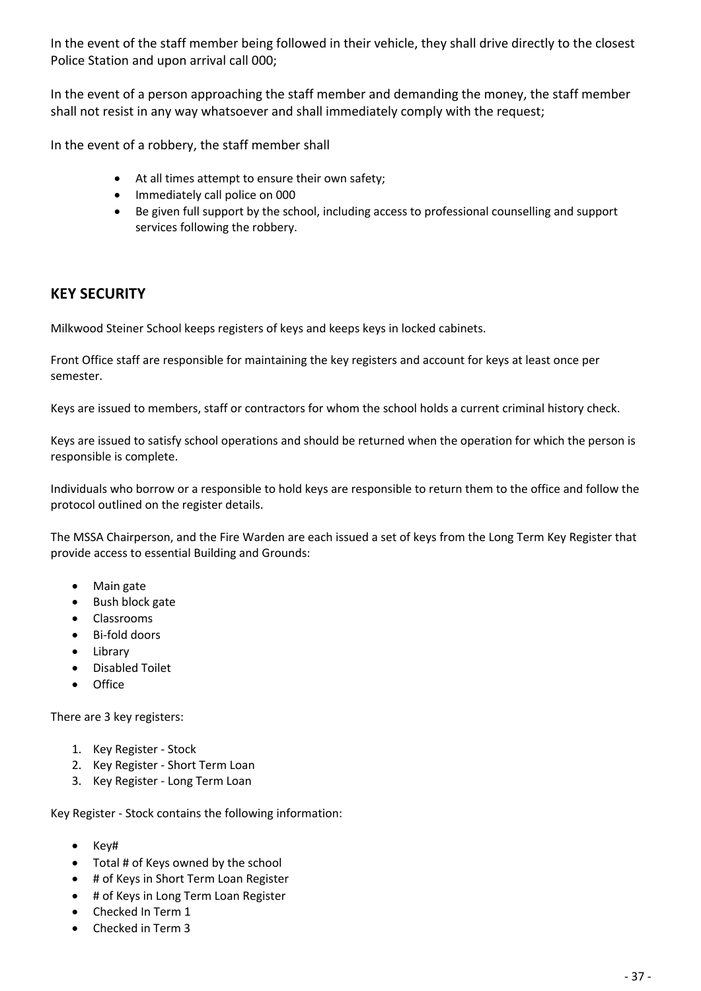In the event of the staff member being followed in their vehicle, they shall drive directly to the closest Police Station and upon arrival call 000;

In the event of a person approaching the staff member and demanding the money, the staff member shall not resist in any way whatsoever and shall immediately comply with the request;

In the event of a robbery, the staff member shall

- At all times attempt to ensure their own safety;
- Immediately call police on 000
- Be given full support by the school, including access to professional counselling and support services following the robbery.

#### **KEY SECURITY**

Milkwood Steiner School keeps registers of keys and keeps keys in locked cabinets.

Front Office staff are responsible for maintaining the key registers and account for keys at least once per semester.

Keys are issued to members, staff or contractors for whom the school holds a current criminal history check.

Keys are issued to satisfy school operations and should be returned when the operation for which the person is responsible is complete.

Individuals who borrow or a responsible to hold keys are responsible to return them to the office and follow the protocol outlined on the register details.

The MSSA Chairperson, and the Fire Warden are each issued a set of keys from the Long Term Key Register that provide access to essential Building and Grounds:

- Main gate
- Bush block gate
- Classrooms
- Bi-fold doors
- Library
- Disabled Toilet
- Office

There are 3 key registers:

- 1. Key Register Stock
- 2. Key Register Short Term Loan
- 3. Key Register Long Term Loan

Key Register - Stock contains the following information:

- Key#
- Total # of Keys owned by the school
- # of Keys in Short Term Loan Register
- # of Keys in Long Term Loan Register
- Checked In Term 1
- Checked in Term 3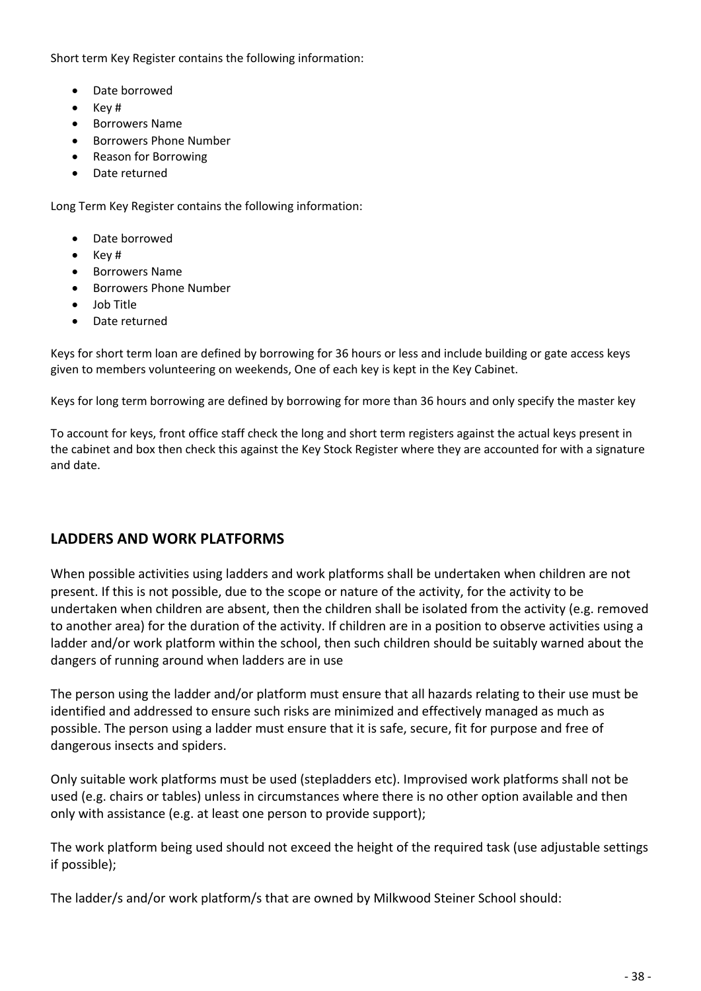Short term Key Register contains the following information:

- Date borrowed
- Key #
- Borrowers Name
- Borrowers Phone Number
- Reason for Borrowing
- Date returned

Long Term Key Register contains the following information:

- Date borrowed
- Key #
- Borrowers Name
- Borrowers Phone Number
- Job Title
- Date returned

Keys for short term loan are defined by borrowing for 36 hours or less and include building or gate access keys given to members volunteering on weekends, One of each key is kept in the Key Cabinet.

Keys for long term borrowing are defined by borrowing for more than 36 hours and only specify the master key

To account for keys, front office staff check the long and short term registers against the actual keys present in the cabinet and box then check this against the Key Stock Register where they are accounted for with a signature and date.

#### **LADDERS AND WORK PLATFORMS**

When possible activities using ladders and work platforms shall be undertaken when children are not present. If this is not possible, due to the scope or nature of the activity, for the activity to be undertaken when children are absent, then the children shall be isolated from the activity (e.g. removed to another area) for the duration of the activity. If children are in a position to observe activities using a ladder and/or work platform within the school, then such children should be suitably warned about the dangers of running around when ladders are in use

The person using the ladder and/or platform must ensure that all hazards relating to their use must be identified and addressed to ensure such risks are minimized and effectively managed as much as possible. The person using a ladder must ensure that it is safe, secure, fit for purpose and free of dangerous insects and spiders.

Only suitable work platforms must be used (stepladders etc). Improvised work platforms shall not be used (e.g. chairs or tables) unless in circumstances where there is no other option available and then only with assistance (e.g. at least one person to provide support);

The work platform being used should not exceed the height of the required task (use adjustable settings if possible);

The ladder/s and/or work platform/s that are owned by Milkwood Steiner School should: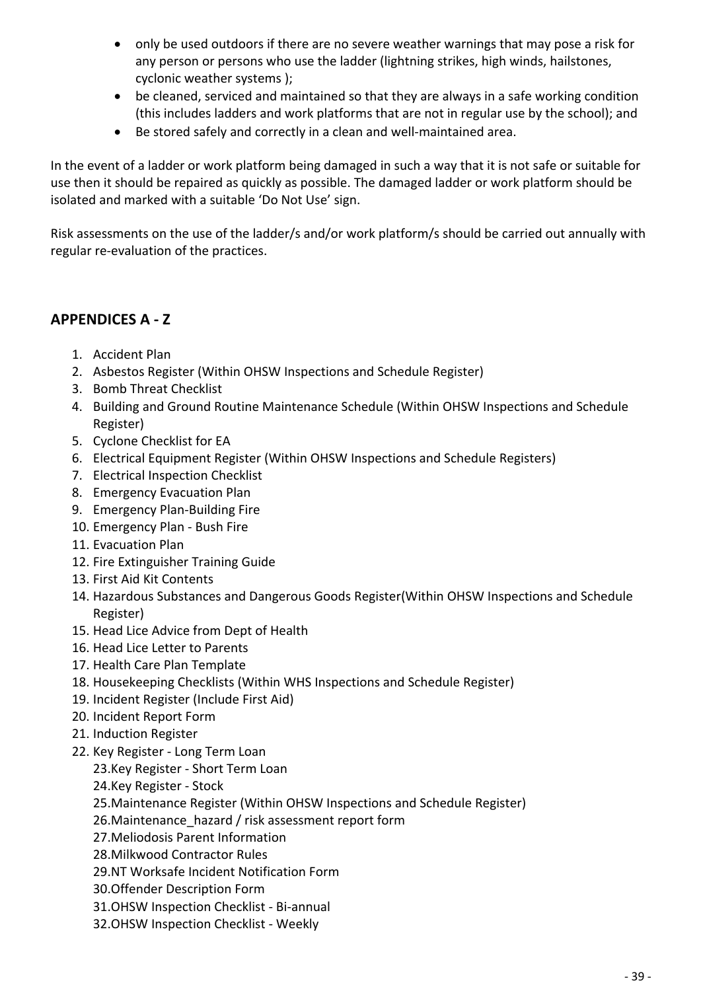- only be used outdoors if there are no severe weather warnings that may pose a risk for any person or persons who use the ladder (lightning strikes, high winds, hailstones, cyclonic weather systems );
- be cleaned, serviced and maintained so that they are always in a safe working condition (this includes ladders and work platforms that are not in regular use by the school); and
- Be stored safely and correctly in a clean and well-maintained area.

In the event of a ladder or work platform being damaged in such a way that it is not safe or suitable for use then it should be repaired as quickly as possible. The damaged ladder or work platform should be isolated and marked with a suitable 'Do Not Use' sign.

Risk assessments on the use of the ladder/s and/or work platform/s should be carried out annually with regular re-evaluation of the practices.

### **APPENDICES A - Z**

- 1. Accident Plan
- 2. Asbestos Register (Within OHSW Inspections and Schedule Register)
- 3. Bomb Threat Checklist
- 4. Building and Ground Routine Maintenance Schedule (Within OHSW Inspections and Schedule Register)
- 5. Cyclone Checklist for EA
- 6. Electrical Equipment Register (Within OHSW Inspections and Schedule Registers)
- 7. Electrical Inspection Checklist
- 8. Emergency Evacuation Plan
- 9. Emergency Plan-Building Fire
- 10. Emergency Plan Bush Fire
- 11. Evacuation Plan
- 12. Fire Extinguisher Training Guide
- 13. First Aid Kit Contents
- 14. Hazardous Substances and Dangerous Goods Register(Within OHSW Inspections and Schedule Register)
- 15. Head Lice Advice from Dept of Health
- 16. Head Lice Letter to Parents
- 17. Health Care Plan Template
- 18. Housekeeping Checklists (Within WHS Inspections and Schedule Register)
- 19. Incident Register (Include First Aid)
- 20. Incident Report Form
- 21. Induction Register
- 22. Key Register Long Term Loan
	- 23.Key Register Short Term Loan
	- 24.Key Register Stock
	- 25.Maintenance Register (Within OHSW Inspections and Schedule Register)
	- 26. Maintenance hazard / risk assessment report form
	- 27.Meliodosis Parent Information
	- 28.Milkwood Contractor Rules
	- 29.NT Worksafe Incident Notification Form
	- 30.Offender Description Form
	- 31.OHSW Inspection Checklist Bi-annual
	- 32.OHSW Inspection Checklist Weekly